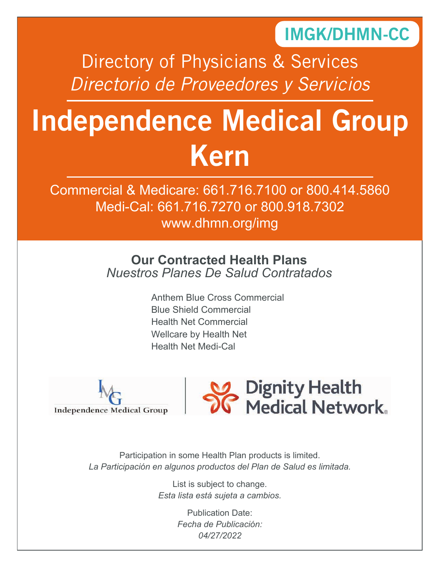# IMGK/DHMN-CC

Directory of Physicians & Services *Directorio de Proveedores y Servicios*

# Independence Medical Group Kern

Commercial & Medicare: 661.716.7100 or 800.414.5860 Medi-Cal: 661.716.7270 or 800.918.7302 www.dhmn.org/img

# **Our Contracted Health Plans** *Nuestros Planes De Salud Contratados*

Anthem Blue Cross Commercial Blue Shield Commercial Health Net Commercial Wellcare by Health Net Health Net Medi-Cal





Participation in some Health Plan products is limited. *La Participación en algunos productos del Plan de Salud es limitada.*

> List is subject to change. *Esta lista está sujeta a cambios.*

> > Publication Date: *Fecha de Publicación: 04/27/2022*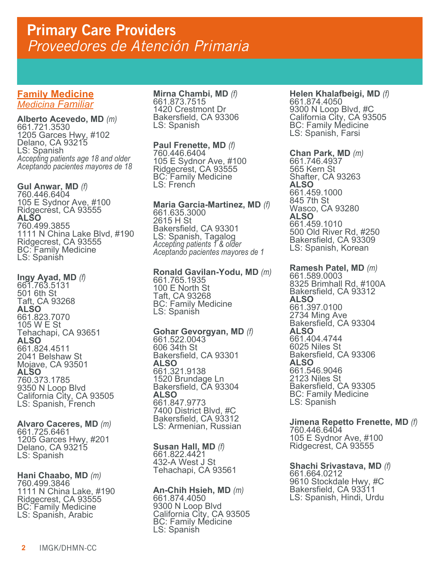# **Family Medicine** *Medicina Familiar*

**Alberto Acevedo, MD** *(m)* 661.721.3530 1205 Garces Hwy, #102 Delano, CA 93215 LS: Spanish *Accepting patients age 18 and older Aceptando pacientes mayores de 18* 

**Gul Anwar, MD** *(f)* 760.446.6404 105 E Sydnor Ave, #100 Ridgecrest, CA 93555 **ALSO** 760.499.3855 1111 N China Lake Blvd, #190 Ridgecrest, CA 93555 BC: Family Medicine LS: Spanish

**Ingy Ayad, MD** *(f)* 661.763.5131 501 6th St Taft, CA 93268 **ALSO** 661.823.7070 105 W E St Tehachapi, CA 93651 **ALSO** 661.824.4511 2041 Belshaw St Mojave, CA 93501 **ALSO** 760.373.1785 9350 N Loop Blvd California City, CA 93505 LS: Spanish, French

**Alvaro Caceres, MD** *(m)* 661.725.6461 1205 Garces Hwy, #201 Delano, CA 93215 LS: Spanish

# **Hani Chaabo, MD** *(m)* 760.499.3846 1111 N China Lake, #190 Ridgecrest, CA 93555 BC: Family Medicine LS: Spanish, Arabic

**Mirna Chambi, MD** *(f)* 661.873.7515 1420 Crestmont Dr Bakersfield, CA 93306 LS: Spanish

**Paul Frenette, MD** *(f)* 760.446.6404 105 E Sydnor Ave, #100 Ridgecrest, CA 93555 BC: Family Medicine LS: French

**Maria Garcia-Martinez, MD** *(f)* 661.635.3000 2615 H St Bakersfield, CA 93301 LS: Spanish, Tagalog *Accepting patients 1 & older Aceptando pacientes mayores de 1*

**Ronald Gavilan-Yodu, MD** *(m)* 661.765.1935 100 E North St Taft, CA 93268 BC: Family Medicine LS: Spanish

**Gohar Gevorgyan, MD** *(f)* 661.522.0043 606 34th St Bakersfield, CA 93301 **ALSO** 661.321.9138 1520 Brundage Ln Bakersfield, CA 93304 **ALSO** 661.847.9773 7400 District Blvd, #C Bakersfield, CA 93312 LS: Armenian, Russian

**Susan Hall, MD** *(f)* 661.822.4421 432-A West J St Tehachapi, CA 93561

**An-Chih Hsieh, MD** *(m)* 661.874.4050 9300 N Loop Blvd California City, CA 93505 BC: Family Medicine LS: Spanish

**Helen Khalafbeigi, MD** *(f)* 661.874.4050 9300 N Loop Blvd, #C California City, CA 93505 BC: Family Medicine LS: Spanish, Farsi

**Chan Park, MD** *(m)* 661.746.4937 565 Kern St Shafter, CA 93263 **ALSO** 661.459.1000 845 7th St Wasco, CA 93280 **ALSO** 661.459.1010 500 Old River Rd, #250 Bakersfield, CA 93309 LS: Spanish, Korean

**Ramesh Patel, MD** *(m)* 661.589.0003 8325 Brimhall Rd, #100A Bakersfield, CA 93312 **ALSO** 661.397.0100 2734 Ming Ave Bakersfield, CA 93304 **ALSO** 661.404.4744 6025 Niles St Bakersfield, CA 93306 **ALSO** 661.546.9046 2123 Niles St Bakersfield, CA 93305 BC: Family Medicine LS: Spanish

**Jimena Repetto Frenette, MD** *(f)* 760.446.6404 105 E Sydnor Ave, #100 Ridgecrest, CA 93555

**Shachi Srivastava, MD** *(f)* 661.664.0212 9610 Stockdale Hwy, #C Bakersfield, CA 93311 LS: Spanish, Hindi, Urdu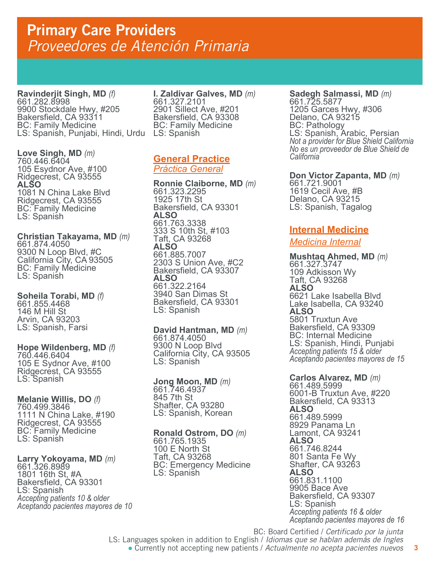**Ravinderjit Singh, MD** *(f)* 661.282.8998 9900 Stockdale Hwy, #205 Bakersfield, CA 93311 BC: Family Medicine LS: Spanish, Punjabi, Hindi, Urdu LS: Spanish

**Love Singh, MD** *(m)* 760.446.6404 105 Esydnor Ave, #100 Ridgecrest, CA 93555 **ALSO** 1081 N China Lake Blvd Ridgecrest, CA 93555 BC: Family Medicine LS: Spanish

**Christian Takayama, MD** *(m)* 661.874.4050 9300 N Loop Blvd, #C California City, CA 93505 BC: Family Medicine LS: Spanish

**Soheila Torabi, MD** *(f)* 661.855.4468 146 M Hill St Arvin, CA 93203 LS: Spanish, Farsi

# **Hope Wildenberg, MD** *(f)* 760.446.6404 105 E Sydnor Ave, #100 Ridgecrest, CA 93555 LS: Spanish

**Melanie Willis, DO** *(f)* 760.499.3846 1111 N China Lake, #190 Ridgecrest, CA 93555 BC: Family Medicine LS: Spanish

### **Larry Yokoyama, MD** *(m)* 661.326.8989 1801 16th St, #A Bakersfield, CA 93301 LS: Spanish *Accepting patients 10 & older Aceptando pacientes mayores de 10*

**I. Zaldivar Galves, MD** *(m)* 661.327.2101 2901 Sillect Ave, #201 Bakersfield, CA 93308 BC: Family Medicine

# **General Practice** *Práctica General*

**Ronnie Claiborne, MD**  $(m)$ 661.323.2295<br>1925 17th St Bakersfield, CA 93301 **ALSO** 661.763.3338 333 S 10th St, #103 Taft, CA 93268 **ALSO** 661.885.7007 2303 S Union Ave, #C2 Bakersfield, CA 93307 **ALSO** 661.322.2164 3940 San Dimas St Bakersfield, CA 93301 LS: Spanish

**David Hantman, MD** *(m)* 661.874.4050 9300 N Loop Blvd California City, CA 93505 LS: Spanish

**Jong Moon, MD** *(m)* 661.746.4937 845 7th St Shafter, CA 93280 LS: Spanish, Korean

**Ronald Ostrom, DO (m)** 661.765.1935<br>100 E North St Taft, CA 93268 BC: Emergency Medicine LS: Spanish

### **Sadegh Salmassi, MD** *(m)* 661.725.5877 1205 Garces Hwy, #306 Delano, CA 93215 BC: Pathology LS: Spanish, Arabic, Persian *Not a provider for Blue Shield California No es un proveedor de Blue Shield de California*

**Don Victor Zapanta, MD** *(m)* 661.721.9001 1619 Cecil Ave, #B Delano, CA 93215 LS: Spanish, Tagalog

# **Internal Medicine**

*Medicina Internal*

**Mushtaq Ahmed, MD** *(m)* 661.327.3747 109 Adkisson Wy Taft, CA 93268 **ALSO** 6621 Lake Isabella Blvd Lake Isabella, CA 93240 **ALSO**  5801 Truxtun Ave Bakersfield, CA 93309 BC: Internal Medicine LS: Spanish, Hindi, Punjabi *Accepting patients 15 & older Aceptando pacientes mayores de 15*

**Carlos Alvarez, MD** *(m)* 661.489.5999 6001-B Truxtun Ave, #220 Bakersfield, CA 93313 **ALSO** 661.489.5999 8929 Panama Ln Lamont, CA 93241 **ALSO** 661.746.8244 801 Santa Fe Wy Shafter, CA 93263 **ALSO** 661.831.1100 9905 Bace Ave Bakersfield, CA 93307 LS: Spanish *Accepting patients 16 & older Aceptando pacientes mayores de 16*

**3**

BC: Board Certified / *Certificado por la junta* LS: Languages spoken in addition to English / *Idiomas que se hablan además de Ingles* ● Currently not accepting new patients / *Actualmente no acepta pacientes nuevos*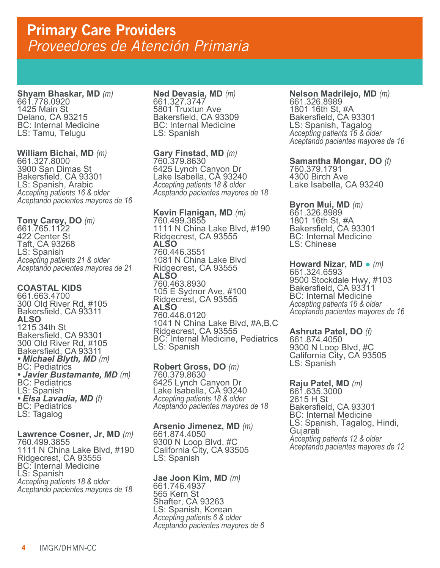**Shyam Bhaskar, MD** *(m)* 661.778.0920 1425 Main St Delano, CA 93215 BC: Internal Medicine LS: Tamu, Telugu

**William Bichai, MD** *(m)* 661.327.8000 3900 San Dimas St Bakersfield, CA 93301 LS: Spanish, Arabic *Accepting patients 16 & older Aceptando pacientes mayores de 16*

**Tony Carey, DO** *(m)* 661.765.1122 422 Center St Taft, CA 93268 LS: Spanish *Accepting patients 21 & older Aceptando pacientes mayores de 21*

### **COASTAL KIDS**

661.663.4700 300 Old River Rd, #105 Bakersfield, CA 93311 **ALSO** 1215 34th St Bakersfield, CA 93301 300 Old River Rd, #105 Bakersfield, CA 93311 *• Michael Blyth, MD (m)* BC: Pediatrics • Javier Bustamante, MD (m)<br>BC: Pediatrics LS: Spanish *• Elsa Lavadia, MD (f)* BC: Pediatrics LS: Tagalog

**Lawrence Cosner, Jr, MD** *(m)* 760.499.3855 1111 N China Lake Blvd, #190 Ridgecrest, CA 93555 BC: Internal Medicine LS: Spanish *Accepting patients 18 & older Aceptando pacientes mayores de 18*

**Ned Devasia, MD** *(m)* 661.327.3747 5801 Truxtun Ave Bakersfield, CA 93309 BC: Internal Medicine LS: Spanish

**Gary Finstad, MD** *(m)* 760.379.8630 6425 Lynch Canyon Dr Lake Isabella, CA 93240 *Accepting patients 18 & older Aceptando pacientes mayores de 18*

**Kevin Flanigan, MD** *(m)* 760.499.3855 1111 N China Lake Blvd, #190 Ridgecrest, CA 93555 **ALSO** 760.446.3551 1081 N China Lake Blvd Ridgecrest, CA 93555 **ALSO**  760.463.8930 105 E Sydnor Ave, #100 Ridgecrest, CA 93555 **ALSO**  760.446.0120 1041 N China Lake Blvd, #A,B,C Ridgecrest, CA 93555 BC: Internal Medicine, Pediatrics LS: Spanish

**Robert Gross, DO** *(m)* 760.379.8630 6425 Lynch Canyon Dr Lake Isabella, CA 93240 *Accepting patients 18 & older Aceptando pacientes mayores de 18*

**Arsenio Jimenez, MD** *(m)* 661.874.4050 9300 N Loop Blvd, #C California City, CA 93505 LS: Spanish

**Jae Joon Kim, MD** *(m)* 661.746.4937 565 Kern St Shafter, CA 93263 LS: Spanish, Korean *Accepting patients 6 & older Aceptando pacientes mayores de 6* **Nelson Madrilejo, MD** *(m)* 661.326.8989 1801 16th St, #A Bakersfield, CA 93301 LS: Spanish, Tagalog *Accepting patients 16 & older Aceptando pacientes mayores de 16*

**Samantha Mongar, DO** *(f)* 760.379.1791 4300 Birch Ave Lake Isabella, CA 93240

**Byron Mui, MD** *(m)* 661.326.8989 1801 16th St, #A Bakersfield, CA 93301 BC: Internal Medicine LS: Chinese

**Howard Nizar, MD •** *(m)*<br>661.324.6593 9500 Stockdale Hwy, #103 Bakersfield, CA 93311 BC: Internal Medicine *Accepting patients 16 & older Aceptando pacientes mayores de 16* 

**Ashruta Patel, DO** *(f)* 661.874.4050 9300 N Loop Blvd, #C California City, CA 93505 LS: Spanish

**Raju Patel, MD** *(m)* 661.635.3000 2615 H St Bakersfield, CA 93301 BC: Internal Medicine LS: Spanish, Tagalog, Hindi, **Gujarati** *Accepting patients 12 & older Aceptando pacientes mayores de 12*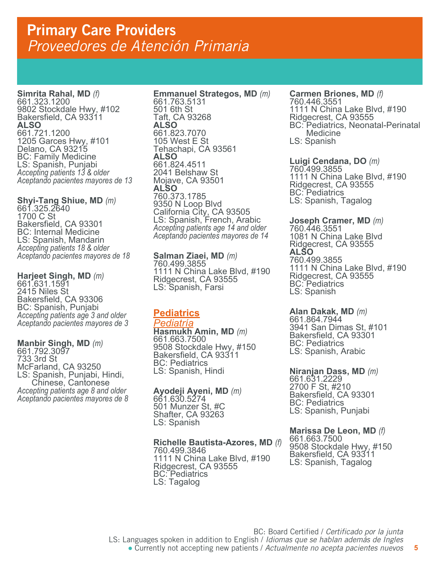**Simrita Rahal, MD** *(f)* 661.323.1200 9802 Stockdale Hwy, #102 Bakersfield, CA 93311 **ALSO** 661.721.1200 1205 Garces Hwy, #101 Delano, CA 93215 BC: Family Medicine LS: Spanish, Punjabi *Accepting patients 13 & older Aceptando pacientes mayores de 13*

**Shyi-Tang Shiue, MD** *(m)* 661.325.2640 1700 C St Bakersfield, CA 93301 BC: Internal Medicine LS: Spanish, Mandarin *Accepting patients 18 & older Aceptando pacientes mayores de 18*

**Harjeet Singh, MD** *(m)* 661.631.1591 2415 Niles St Bakersfield, CA 93306 BC: Spanish, Punjabi *Accepting patients age 3 and older Aceptando pacientes mayores de 3* 

**Manbir Singh, MD** *(m)* 661.792.3097 733 3rd St McFarland, CA 93250 LS: Spanish, Punjabi, Hindi, Chinese, Cantonese *Accepting patients age 8 and older Aceptando pacientes mayores de 8* 

**Emmanuel Strategos, MD** *(m)* 661.763.5131 501 6th St Taft, CA 93268 **ALSO**  661.823.7070 105 West E St Tehachapi, CA 93561 **ALSO**  661.824.4511 2041 Belshaw St Mojave, CA 93501 **ALSO**  760.373.1785 9350 N Loop Blvd California City, CA 93505 LS: Spanish, French, Arabic *Accepting patients age 14 and older Aceptando pacientes mayores de 14*

**Salman Ziaei, MD** *(m)* 760.499.3855 1111 N China Lake Blvd, #190 Ridgecrest, CA 93555 LS: Spanish, Farsi

# **Pediatrics**

#### *Pediatría*

**Hasmukh Amin, MD** *(m)* 661.663.7500 9508 Stockdale Hwy, #150 Bakersfield, CA 93311 BC: Pediatrics LS: Spanish, Hindi

**Ayodeji Ayeni, MD** *(m)* 661.630.5274 501 Munzer St, #C Shafter, CA 93263 LS: Spanish

**Richelle Bautista-Azores, MD** *(f)* 760.499.3846 1111 N China Lake Blvd, #190 Ridgecrest, CA 93555 BC: Pediatrics LS: Tagalog

**Carmen Briones, MD** *(f)* 760.446.3551 1111 N China Lake Blvd, #190 Ridgecrest, CA 93555 BC: Pediatrics, Neonatal-Perinatal **Medicine** LS: Spanish

**Luigi Cendana, DO** *(m)* 760.499.3855 1111 N China Lake Blvd, #190 Ridgecrest, CA 93555 BC: Pediatrics LS: Spanish, Tagalog

**Joseph Cramer, MD** *(m)* 760.446.3551 1081 N China Lake Blvd Ridgecrest, CA 93555 **ALSO** 760.499.3855 1111 N China Lake Blvd, #190 Ridgecrest, CA 93555 BC: Pediatrics LS: Spanish

**Alan Dakak, MD** *(m)* 661.864.7944 3941 San Dimas St, #101 Bakersfield, CA 93301 BC: Pediatrics LS: Spanish, Arabic

**Niranjan Dass, MD** *(m)* 661.631.2229 2700 F St, #210 Bakersfield, CA 93301 BC: Pediatrics LS: Spanish, Punjabi

**Marissa De Leon, MD** *(f)* 661.663.7500 9508 Stockdale Hwy, #150 Bakersfield, CA 93311 LS: Spanish, Tagalog

**5**

BC: Board Certified / *Certificado por la junta* LS: Languages spoken in addition to English / *Idiomas que se hablan además de Ingles* ● Currently not accepting new patients / *Actualmente no acepta pacientes nuevos*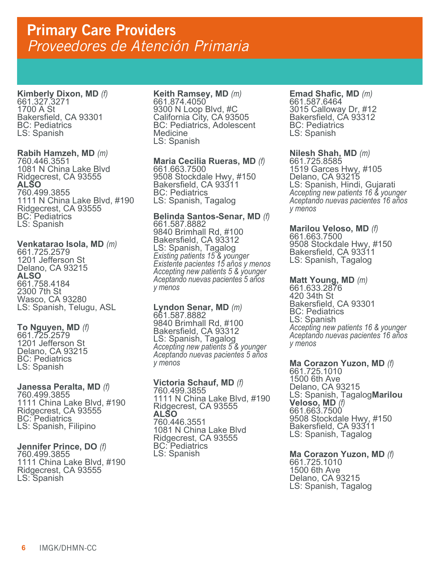**Kimberly Dixon, MD** *(f)* 661.327.3271 1700 A St Bakersfield, CA 93301 BC: Pediatrics LS: Spanish

**Rabih Hamzeh, MD** *(m)* 760.446.3551

1081 N China Lake Blvd Ridgecrest, CA 93555 **ALSO** 760.499.3855 1111 N China Lake Blvd, #190 Ridgecrest, CA 93555 BC: Pediatrics LS: Spanish

# **Venkatarao Isola, MD** *(m)*<br>661.725.2579

1201 Jefferson St Delano, CA 93215 **ALSO** 661.758.4184 2300 7th St Wasco, CA 93280 LS: Spanish, Telugu, ASL

# **To Nguyen, MD** *(f)* 661.725.2579

1201 Jefferson St Delano, CA 93215 BC: Pediatrics LS: Spanish

# **Janessa Peralta, MD** *(f)* 760.499.3855

1111 China Lake Blvd, #190 Ridgecrest, CA 93555 BC: Pediatrics LS: Spanish, Filipino

# **Jennifer Prince, DO** *(f)* 760.499.3855

1111 China Lake Blvd, #190 Ridgecrest, CA 93555 LS: Spanish

### **Keith Ramsey, MD** *(m)* 661.874.4050 9300 N Loop Blvd, #C California City, CA 93505 BC: Pediatrics, Adolescent **Medicine** LS: Spanish

**Maria Cecilia Rueras, MD** *(f)* 661.663.7500 9508 Stockdale Hwy, #150 Bakersfield, CA 93311 BC: Pediatrics LS: Spanish, Tagalog

# **Belinda Santos-Senar, MD** *(f)* 661.587.8882 9840 Brimhall Rd, #100 Bakersfield, CA 93312 LS: Spanish, Tagalog<br>Existing patients 15 & younger *Existing patients 15 & younger Existente pacientes 15 años y menos Accepting new patients 5 & younger Aceptando nuevas pacientes 5 años y menos*

**Lyndon Senar, MD** *(m)* 661.587.8882 9840 Brimhall Rd, #100 Bakersfield, CA 93312 LS: Spanish, Tagalog<br>Accepting new patients 5 & younger *Accepting new patients 5 & younger Aceptando nuevas pacientes 5 años y menos*

#### **Victoria Schauf, MD** *(f)* 760.499.3855 1111 N China Lake Blvd, #190 Ridgecrest, CA 93555 **ALSO** 760.446.3551 1081 N China Lake Blvd Ridgecrest, CA 93555 BC: Pediatrics LS: Spanish

# **Emad Shafic, MD** *(m)* 661.587.6464 3015 Calloway Dr, #12 Bakersfield, CA 93312 BC: Pediatrics LS: Spanish

**Nilesh Shah, MD** *(m)*<br>661.725.8585 1519 Garces Hwy, #105 Delano, CA 93215 LS: Spanish, Hindi, Gujarati *Accepting new patients 16 & younger Aceptando nuevas pacientes 16 años y menos*

# **Marilou Veloso, MD** *(f)* 661.663.7500 9508 Stockdale Hwy, #150 Bakersfield, CA 93311 LS: Spanish, Tagalog

# **Matt Young, MD** *(m)* 661.633.2876

420 34th St Bakersfield, CA 93301 BC: Pediatrics LS: Spanish<br>Accepting new patients 16 & younger *Accepting new patients 16 & younger Aceptando nuevas pacientes 16 años y menos*

# **Ma Corazon Yuzon, MD** *(f)* 661.725.1010

1500 6th Ave Delano, CA 93215 LS: Spanish, Tagalog**Marilou Veloso, MD** *(f)*<br>661.663.7500 9508 Stockdale Hwy, #150 Bakersfield, CA 93311 LS: Spanish, Tagalog

# **Ma Corazon Yuzon, MD** *(f)* 661.725.1010 1500 6th Ave Delano, CA 93215 LS: Spanish, Tagalog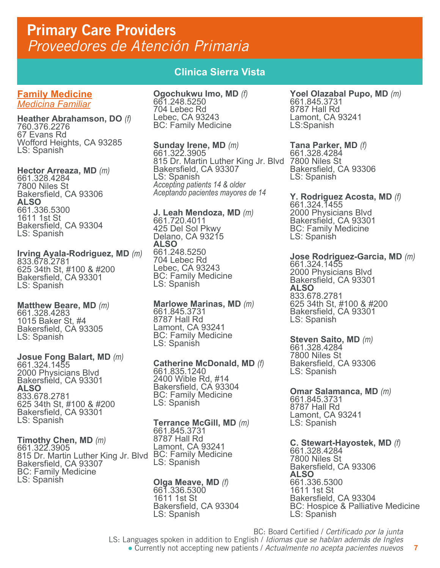**Family Medicine** *Medicina Familiar*

**Heather Abrahamson, DO** *(f)* 760.376.2276 67 Evans Rd Wofford Heights, CA 93285 LS: Spanish

**Hector Arreaza, MD** *(m)* 661.328.4284 7800 Niles St Bakersfield, CA 93306 **ALSO** 661.336.5300 1611 1st St Bakersfield, CA 93304 LS: Spanish

**Irving Ayala-Rodriguez, MD** *(m)* 833.678.2781 625 34th St, #100 & #200 Bakersfield, CA 93301 LS: Spanish

**Matthew Beare, MD** *(m)* 661.328.4283 1015 Baker St, #4 Bakersfield, CA 93305 LS: Spanish

**Josue Fong Balart, MD** *(m)* 661.324.1455 2000 Physicians Blvd Bakersfield, CA 93301 **ALSO** 833.678.2781 625 34th St, #100 & #200 Bakersfield, CA 93301 LS: Spanish

**Timothy Chen, MD** *(m)* 661.322.3905 815 Dr. Martin Luther King Jr. Blvd BC: Family Medicine Bakersfield, CA 93307 BC: Family Medicine LS: Spanish

# **Clinica Sierra Vista**

**Ogochukwu Imo, MD** *(f)* 661.248.5250 704 Lebec Rd Lebec, CA 93243 BC: Family Medicine

**Sunday Irene, MD** *(m)* 661.322.3905 815 Dr. Martin Luther King Jr. Blvd 7800 Niles St Bakersfield, CA 93307 LS: Spanish *Accepting patients 14 & older Aceptando pacientes mayores de 14*

**J. Leah Mendoza, MD** *(m)* 661.720.4011 425 Del Sol Pkwy Delano, CA 93215 **ALSO** 661.248.5250 704 Lebec Rd Lebec, CA 93243 BC: Family Medicine LS: Spanish

**Marlowe Marinas, MD** *(m)* 661.845.3731 8787 Hall Rd Lamont, CA 93241 BC: Family Medicine LS: Spanish

**Catherine McDonald, MD** *(f)* 661.835.1240 2400 Wible Rd, #14 Bakersfield, CA 93304 BC: Family Medicine LS: Spanish

**Terrance McGill, MD** *(m)* 661.845.3731 8787 Hall Rd Lamont, CA 93241 LS: Spanish

**Olga Meave, MD** *(f)* 661.336.5300 1611 1st St Bakersfield, CA 93304 LS: Spanish

**Yoel Olazabal Pupo, MD** *(m)* 661.845.3731 8787 Hall Rd Lamont, CA 93241 LS:Spanish

**Tana Parker, MD** *(f)* 661.328.4284 Bakersfield, CA 93306 LS: Spanish

**Y. Rodriguez Acosta, MD** *(f)* 661.324.1455 2000 Physicians Blvd Bakersfield, CA 93301 BC: Family Medicine LS: Spanish

**Jose Rodriguez-Garcia, MD** *(m)* 661.324.1455 2000 Physicians Blvd Bakersfield, CA 93301 **ALSO** 833.678.2781 625 34th St, #100 & #200 Bakersfield, CA 93301 LS: Spanish

**Steven Saito, MD** *(m)* 661.328.4284 7800 Niles St Bakersfield, CA 93306 LS: Spanish

**Omar Salamanca, MD** *(m)* 661.845.3731 8787 Hall Rd Lamont, CA 93241 LS: Spanish

**C. Stewart-Hayostek, MD** *(f)* 661.328.4284 7800 Niles St Bakersfield, CA 93306 **ALSO** 661.336.5300 1611 1st St Bakersfield, CA 93304 BC: Hospice & Palliative Medicine LS: Spanish

**7**

BC: Board Certified / *Certificado por la junta* LS: Languages spoken in addition to English / *Idiomas que se hablan además de Ingles* ● Currently not accepting new patients / *Actualmente no acepta pacientes nuevos*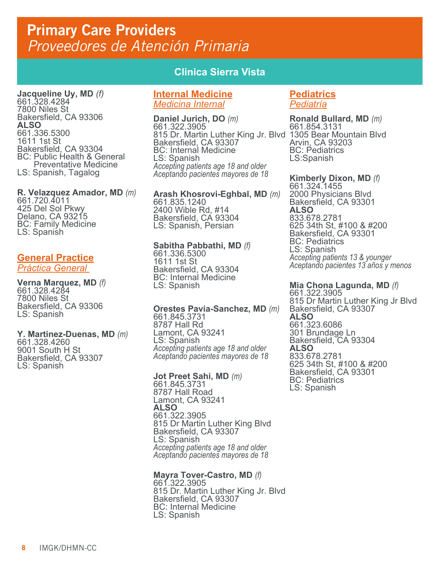**Jacqueline Uy, MD** *(f)* 661.328.4284 7800 Niles St Bakersfield, CA 93306 **ALSO** 661.336.5300 1611 1st St Bakersfield, CA 93304 BC: Public Health & General Preventative Medicine LS: Spanish, Tagalog

**R. Velazquez Amador, MD** *(m)* 661.720.4011 425 Del Sol Pkwy Delano, CA 93215 BC: Family Medicine LS: Spanish

# **General Practice** *Práctica General*

**Verna Marquez, MD** *(f)* 661.328.4284 7800 Niles St Bakersfield, CA 93306 LS: Spanish

# **Y. Martinez-Duenas, MD** *(m)* 661.328.4260

9001 South H St Bakersfield, CA 93307 LS: Spanish

# **Clinica Sierra Vista**

# **Internal Medicine** *Medicina Internal*

**Daniel Jurich, DO** (*m*)<br>661.322.3905 815 Dr. Martin Luther King Jr. Blvd 1305 Bear Mountain Blvd Bakersfield, CA 93307 BC: Internal Medicine LS: Spanish *Accepting patients age 18 and older Aceptando pacientes mayores de 18*

**Arash Khosrovi-Eghbal, MD** *(m)* 661.835.1240 2400 Wible Rd, #14 Bakersfield, CA 93304 LS: Spanish, Persian

# **Sabitha Pabbathi, MD** *(f)* 661.336.5300

1611 1st St Bakersfield, CA 93304 BC: Internal Medicine LS: Spanish

**Orestes Pavia-Sanchez, MD** *(m)* 661.845.3731 8787 Hall Rd Lamont, CA 93241 LS: Spanish *Accepting patients age 18 and older Aceptando pacientes mayores de 18*

**Jot Preet Sahi, MD** *(m)* 661.845.3731 8787 Hall Road Lamont, CA 93241 **ALSO** 661.322.3905 815 Dr Martin Luther King Blvd Bakersfield, CA 93307 LS: Spanish *Accepting patients age 18 and older Aceptando pacientes mayores de 18*

# **Mayra Tover-Castro, MD** *(f)* 661.322.3905

815 Dr. Martin Luther King Jr. Blvd Bakersfield, CA 93307 BC: Internal Medicine LS: Spanish

# **Pediatrics** *Pediatría*

**Ronald Bullard, MD** *(m)* 661.854.3131 Arvin, CA 93203 **BC: Pediatrics** LS:Spanish

**Kimberly Dixon, MD** *(f)*<br>661.324.1455 2000 Physicians Blvd Bakersfield, CA 93301 **ALSO** 833.678.2781 625 34th St, #100 & #200 Bakersfield, CA 93301 BC: Pediatrics LS: Spanish<br>Accepting patients 13 & younger *Accepting patients 13 & younger Aceptando pacientes 13 años y menos*

# **Mia Chona Lagunda, MD** *(f)* 661.322.3905

815 Dr Martin Luther King Jr Blvd Bakersfield, CA 93307 **ALSO** 661.323.6086 301 Brundage Ln Bakersfield, CA 93304 **ALSO** 833.678.2781 625 34th St, #100 & #200 Bakersfield, CA 93301 BC: Pediatrics LS: Spanish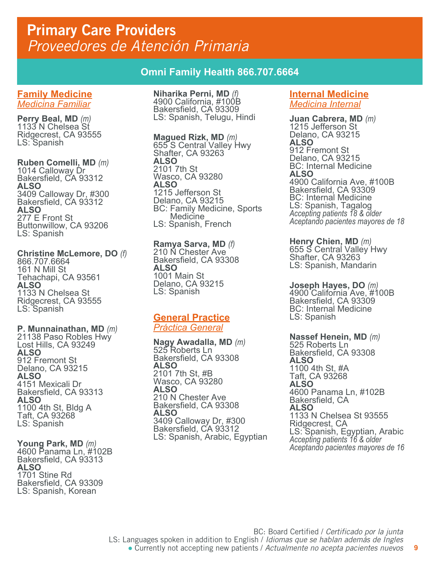# **Omni Family Health 866.707.6664**

### **Family Medicine** *Medicina Familiar*

**Perry Beal, MD** *(m)* 1133 N Chelsea St Ridgecrest, CA 93555 LS: Spanish

**Ruben Comelli, MD** *(m)* 1014 Calloway Dr Bakersfield, CA 93312 **ALSO** 3409 Calloway Dr, #300 Bakersfield, CA 93312 **ALSO**  277 E Front St Buttonwillow, CA 93206 LS: Spanish

**Christine McLemore, DO** *(f)* 866.707.6664 161 N Mill St Tehachapi, CA 93561 **ALSO** 1133 N Chelsea St Ridgecrest, CA 93555 LS: Spanish

# **P. Munnainathan, MD** *(m)* 21138 Paso Robles Hwy

Lost Hills, CA 93249 **ALSO** 912 Fremont St Delano, CA 93215 **ALSO** 4151 Mexicali Dr Bakersfield, CA 93313 **ALSO** 1100 4th St, Bldg A Taft, CA 93268 LS: Spanish

**Young Park, MD** *(m)* 4600 Panama Ln, #102B Bakersfield, CA 93313 **ALSO** 1701 Stine Rd Bakersfield, CA 93309 LS: Spanish, Korean

# **Niharika Perni, MD** *(f)* 4900 California, #100B Bakersfield, CA 93309 LS: Spanish, Telugu, Hindi

**Magued Rizk, MD** *(m)* 655 S Central Valley Hwy Shafter, CA 93263 **ALSO** 2101 7th St Wasco, CA 93280 **ALSO** 1215 Jefferson St Delano, CA 93215 BC: Family Medicine, Sports **Medicine** LS: Spanish, French

**Ramya Sarva, MD** *(f)* 210 N Chester Ave Bakersfield, CA 93308 **ALSO** 1001 Main St Delano, CA 93215 LS: Spanish

# **General Practice**

*Práctica General*

**Nagy Awadalla, MD** *(m)* 525 Roberts Ln Bakersfield, CA 93308 **ALSO** 2101 7th St, #B Wasco, CA 93280 **ALSO** 210 N Chester Ave Bakersfield, CA 93308 **ALSO** 3409 Calloway Dr, #300 Bakersfield, CA 93312 LS: Spanish, Arabic, Egyptian

# **Internal Medicine** *Medicina Internal*

**Juan Cabrera, MD** *(m)* 1215 Jefferson St Delano, CA 93215 **ALSO** 912 Fremont St Delano, CA 93215 BC: Internal Medicine **ALSO** 4900 California Ave, #100B Bakersfield, CA 93309 BC: Internal Medicine LS: Spanish, Tagalog *Accepting patients 18 & older Aceptando pacientes mayores de 18*

**Henry Chien, MD** *(m)* 655 S Central Valley Hwy Shafter, CA 93263 LS: Spanish, Mandarin

**Joseph Hayes, DO** *(m)* 4900 California Ave, #100B Bakersfield, CA 93309 BC: Internal Medicine LS: Spanish

**Nassef Henein, MD** *(m)* 525 Roberts Ln Bakersfield, CA 93308 **ALSO**  1100 4th St, #A Taft, CA 93268 **ALSO** 4600 Panama Ln, #102B Bakersfield, CA **ALSO** 1133 N Chelsea St 93555 Ridgecrest, CA LS: Spanish, Egyptian, Arabic *Accepting patients 16 & older Aceptando pacientes mayores de 16*

**9**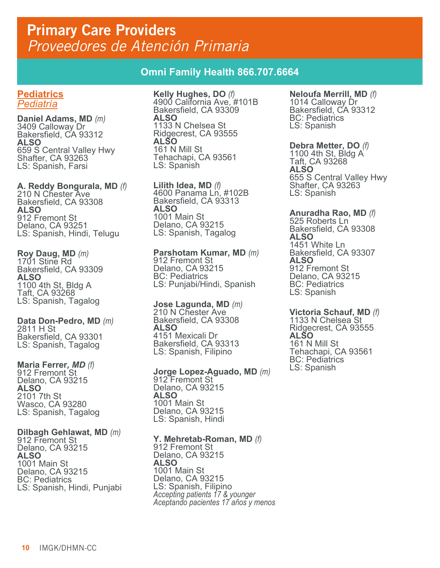# **Omni Family Health 866.707.6664**

# **Pediatrics** *Pediatría*

**Daniel Adams, MD** *(m)* 3409 Calloway Dr Bakersfield, CA 93312 **ALSO**  659 S Central Valley Hwy Shafter, CA 93263 LS: Spanish, Farsi

**A. Reddy Bongurala, MD** *(f)* 210 N Chester Ave Bakersfield, CA 93308 **ALSO** 912 Fremont St Delano, CA 93251 LS: Spanish, Hindi, Telugu

**Roy Daug, MD** *(m)* 1701 Stine Rd Bakersfield, CA 93309 **ALSO** 1100 4th St, Bldg A Taft, CA 93268 LS: Spanish, Tagalog

**Data Don-Pedro, MD** *(m)* 2811 H St Bakersfield, CA 93301 LS: Spanish, Tagalog

**Maria Ferrer***, MD (f)* 912 Fremont St Delano, CA 93215 **ALSO** 2101 7th St Wasco, CA 93280 LS: Spanish, Tagalog

**Dilbagh Gehlawat, MD** *(m)* 912 Fremont St Delano, CA 93215 **ALSO** 1001 Main St Delano, CA 93215 BC: Pediatrics LS: Spanish, Hindi, Punjabi

**Kelly Hughes, DO** *(f)* 4900 California Ave, #101B Bakersfield, CA 93309 **ALSO** 1133 N Chelsea St Ridgecrest, CA 93555 **ALSO** 161 N Mill St Tehachapi, CA 93561 LS: Spanish

**Lilith Idea, MD** *(f)* 4600 Panama Ln, #102B Bakersfield, CA 93313 **ALSO** 1001 Main St Delano, CA 93215 LS: Spanish, Tagalog

**Parshotam Kumar, MD** *(m)* 912 Fremont St Delano, CA 93215 BC: Pediatrics LS: Punjabi/Hindi, Spanish

**Jose Lagunda, MD** *(m)* 210 N Chester Ave Bakersfield, CA 93308 **ALSO** 4151 Mexicali Dr Bakersfield, CA 93313 LS: Spanish, Filipino

**Jorge Lopez-Aguado, MD** *(m)* 912 Fremont St Delano, CA 93215 **ALSO** 1001 Main St Delano, CA 93215 LS: Spanish, Hindi

**Y. Mehretab-Roman, MD** *(f)* 912 Fremont St Delano, CA 93215 **ALSO** 1001 Main St Delano, CA 93215 LS: Spanish, Filipino *Accepting patients 17 & younger Aceptando pacientes 17 años y menos*  **Neloufa Merrill, MD** *(f)* 1014 Calloway Dr Bakersfield, CA 93312 BC: Pediatrics LS: Spanish

**Debra Metter, DO** *(f)* 1100 4th St, Bldg A Taft, CA 93268 **ALSO** 655 S Central Valley Hwy Shafter, CA 93263 LS: Spanish

**Anuradha Rao, MD** *(f)* 525 Roberts Ln Bakersfield, CA 93308 **ALSO** 1451 White Ln Bakersfield, CA 93307 **ALSO** 912 Fremont St Delano, CA 93215 BC: Pediatrics LS: Spanish

**Victoria Schauf, MD** *(f)* 1133 N Chelsea St

Ridgecrest, CA 93555 **ALSO** 161 N Mill St Tehachapi, CA 93561 BC: Pediatrics LS: Spanish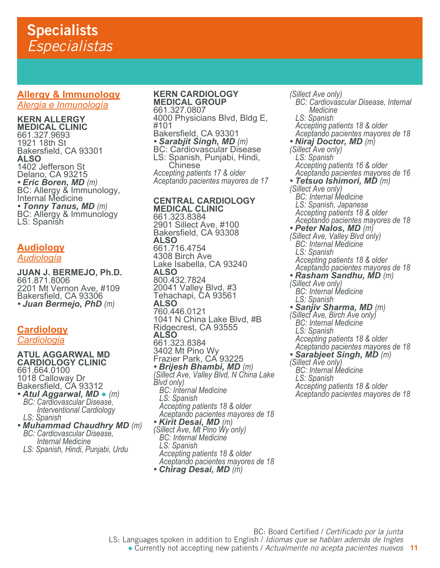# **Allergy & Immunology** *Alergia e Inmunología*

**KERN ALLERGY MEDICAL CLINIC** 661.327.9693 1921 18th St Bakersfield, CA 93301 **ALSO**  1402 Jefferson St Delano, CA 93215<br>• *Eric Boren, MD (m) • Eric Boren, MD (m)* BC: Allergy & Immunology, Internal Médicine *• Tonny Tanus, MD (m)* BC: Allergy & Immunology LS: Spanish

# **Audiology** *Audiología*

**JUAN J. BERMEJO, Ph.D.** 661.871.8006 2201 Mt Vernon Ave, #109 Bakersfield, CA 93306 *• Juan Bermejo, PhD (m)*

### **Cardiology** *Cardiologia*

#### **ATUL AGGARWAL MD CARDIOLOGY CLINIC**

661.664.0100 1018 Calloway Dr Bakersfield, CA 93312

*• Atul Aggarwal, MD* ● *(m) BC: Cardiovascular Disease, Interventional Cardiology LS: Spanish*

*• Muhammad Chaudhry MD (m) BC: Cardiovascular Disease, Internal Medicine LS: Spanish, Hindi, Punjabi, Urdu*

### **KERN CARDIOLOGY MEDICAL GROUP**

661.327.0807 4000 Physicians Blvd, Bldg E, #101 Bakersfield, CA 93301<br>• Sarabjit Singh, MD (m) *• Sarabjit Singh, MD (m)* BC: Cardiovascular Disease LS: Spanish, Punjabi, Hindi, **Chinese** *Accepting patients 17 & older Aceptando pacientes mayores de 17* 

#### **CENTRAL CARDIOLOGY MEDICAL CLINIC** 661.323.8384 2901 Sillect Ave, #100 Bakersfield, CA 93308 **ALSO** 661.716.4754 4308 Birch Ave Lake Isabella, CA 93240 **ALSO** 800.432.7824 20041 Valley Blvd, #3 Tehachapi, CA 93561 **ALSO** 760.446.0121 1041 N China Lake Blvd, #B Ridgecrest, CA 93555 **ALSO** 661.323.8384 3402 Mt Pino Wy Frazier Park, CÁ 93225<br>• **Brijesh Bhambi, MD** (m) *• Brijesh Bhambi, MD (m) (Sillect Ave, Valley Blvd, N China Lake Blvd only) BC: Internal Medicine LS: Spanish Accepting patients 18 & older Aceptando pacientes mayores de 18 • Kirit Desai, MD (m) (Sillect Ave, Mt Pino Wy only)*

 *BC: Internal Medicine LS: Spanish Accepting patients 18 & older Aceptando pacientes mayores de 18*

*• Chirag Desai, MD (m)*

*(Sillect Ave only) BC: Cardiovascular Disease, Internal Medicine LS: Spanish Accepting patients 18 & older Aceptando pacientes mayores de 18 • Niraj Doctor, MD (m) (Sillect Ave only) LS: Spanish Accepting patients 16 & older Aceptando pacientes mayores de 16 • Tetsuo Ishimori, MD (m) (Sillect Ave only) BC: Internal Medicine LS: Spanish, Japanese Accepting patients 18 & older Aceptando pacientes mayores de 18 • Peter Nalos, MD (m) (Sillect Ave, Valley Blvd only) BC: Internal Medicine LS: Spanish Accepting patients 18 & older Aceptando pacientes mayores de 18* **• Rasham Sandhu, MD** (m)  *BC: Internal Medicine LS: Spanish • Sanjiv Sharma, MD (m) (Sillect Ave, Birch Ave only) BC: Internal Medicine LS: Spanish Accepting patients 18 & older Aceptando pacientes mayores de 18 • Sarabjeet Singh, MD (m) (Sillect Ave only) BC: Internal Medicine LS: Spanish Accepting patients 18 & older Aceptando pacientes mayores de 18*

BC: Board Certified / *Certificado por la junta* LS: Languages spoken in addition to English / *Idiomas que se hablan además de Ingles*

**11** ● Currently not accepting new patients / *Actualmente no acepta pacientes nuevos*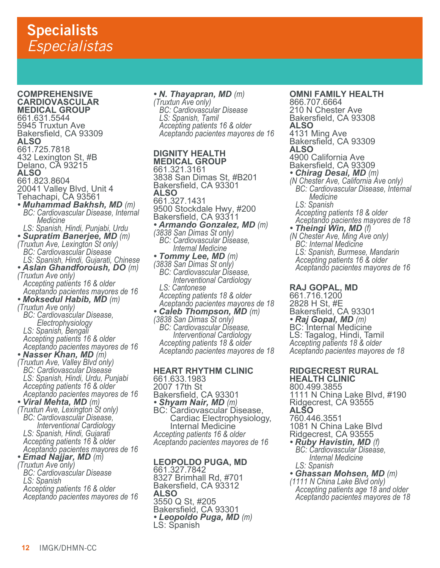**COMPREHENSIVE CARDIOVASCULAR MEDICAL GROUP** 661.631.5544 5945 Truxtun Ave Bakersfield, CA 93309 **ALSO** 661.725.7818 432 Lexington St, #B Delano, CA 93215 **ALSO** 661.823.8604 20041 Valley Blvd, Unit 4 Tehachapi, CA 93561 *• Muhammad Bakhsh, MD (m) BC: Cardiovascular Disease, Internal Medicine LS: Spanish, Hindi, Punjabi, Urdu • Supratim Banerjee, MD (m) (Truxtun Ave, Lexington St only) BC: Cardiovascular Disease LS: Spanish, Hindi, Gujarati, Chinese • Aslan Ghandforoush, DO (m) (Truxtun Ave only) Accepting patients 16 & older Aceptando pacientes mayores de 16 • Moksedul Habib, MD (m) (Truxtun Ave only) BC: Cardiovascular Disease, Electrophysiology LS: Spanish, Bengali Accepting patients 16 & older Aceptando pacientes mayores de 16 • Nasser Khan, MD (m) (Truxtun Ave, Valley Blvd only) BC: Cardiovascular Disease LS: Spanish, Hindi, Urdu, Punjabi Accepting patients 16 & older Aceptando pacientes mayores de 16 • Viral Mehta, MD (m) (Truxtun Ave, Lexington St only) BC: Cardiovascular Disease, Interventional Cardiology LS: Spanish, Hindi, Gujarati Accepting patients 16 & older Aceptando pacientes mayores de 16 • Emad Najjar, MD (m) (Truxtun Ave only) BC: Cardiovascular Disease LS: Spanish Accepting patients 16 & older Aceptando pacientes mayores de 16*

*• N. Thayapran, MD (m) (Truxtun Ave only) BC: Cardiovascular Disease LS: Spanish, Tamil Accepting patients 16 & older Aceptando pacientes mayores de 16*

#### **DIGNITY HEALTH MEDICAL GROUP**

661.321.3161 3838 San Dimas St, #B201 Bakersfield, CA 93301 **ALSO** 661.327.1431 9500 Stockdale Hwy, #200 Bakersfield, CA 93311 *• Armando Gonzalez, MD (m) (3838 San Dimas St only) BC: Cardiovascular Disease,*<br>Internal Medicine<br>• **Tommy Lee, MD** (m) *• Tommy Lee, MD (m) (3838 San Dimas St only) BC: Cardiovascular Disease, Interventional Cardiology LS: Cantonese Accepting patients 18 & older Aceptando pacientes mayores de 18 • Caleb Thompson, MD (m) (3838 San Dimas St only) BC: Cardiovascular Disease, Interventional Cardiology*

 *Accepting patients 18 & older Aceptando pacientes mayores de 18* 

# **HEART RHYTHM CLINIC** 661.633.1983 2007 17th St

Bakersfield, CA 93301<br>• Shyam Nair, MD (m) **BC: Cardiovascular Disease,**  Cardiac Electrophysiology, Internal Medicine *Accepting patients 16 & older Aceptando pacientes mayores de 16* 

**LEOPOLDO PUGA, MD** 661.327.7842 8327 Brimhall Rd, #701 Bakersfield, CA 93312 **ALSO** 3550 Q St, #205

Bakersfield, CA 93301 *• Leopoldo Puga, MD (m)* LS: Spanish

**OMNI FAMILY HEALTH** 866.707.6664 210 N Chester Ave Bakersfield, CA 93308 **ALSO** 4131 Ming Ave Bakersfield, CA 93309 **ALSO** 4900 California Ave Bakersfield, CA 93309<br>• *Chirag Desai, MD (m) • Chirag Desai, MD (m) (N Chester Ave, California Ave only) BC: Cardiovascular Disease, Internal Medicine LS: Spanish Accepting patients 18 & older Aceptando pacientes mayores de 18 • Theingi Win, MD (f) (N Chester Ave, Ming Ave only) BC: Internal Medicine LS: Spanish, Burmese, Mandarin Accepting patients 16 & older Aceptando pacientes mayores de 16*

### **RAJ GOPAL, MD**

661.716.1200 2828 H St, #E Bakersfield, CA 93301 *• Raj Gopal, MD (m)* BC: Internal Medicine LS: Tagalog, Hindi, Tamil *Accepting patients 18 & older Aceptando pacientes mayores de 18*

#### **RIDGECREST RURAL HEALTH CLINIC**

800.499.3855 1111 N China Lake Blvd, #190 Ridgecrest, CA 93555 **ALSO** 760.446.3551 1081 N China Lake Blvd Ridgecrest, CA 93555<br>• **Ruby Havistin, MD** (f) *• Ruby Havistin, MD (f) BC: Cardiovascular Disease,* 

- *Internal Medicine LS: Spanish*
- *Ghassan Mohsen, MD (m) (1111 N China Lake Blvd only)*

 *Accepting patients age 18 and older Aceptando pacientes mayores de 18*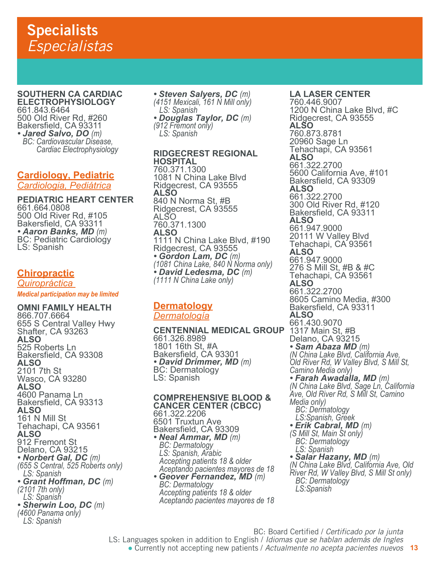#### **SOUTHERN CA CARDIAC ELECTROPHYSIOLOGY** 661.843.6464 500 Old River Rd, #260

Bakersfield, CA 93311<br>• Jared Salvo, DO (m) *• Jared Salvo, DO (m) BC: Cardiovascular Disease, Cardiac Electrophysiology*

# **Cardiology, Pediatric**

*Cardiologia, Pediátrica*

**PEDIATRIC HEART CENTER** 661.664.0808 500 Old River Rd, #105 Bakersfield, CA 93311 *• Aaron Banks, MD (m)* BC: Pediatric Cardiology LS: Spanish

# **Chiropractic**

*Quiropráctica* 

*Medical participation may be limited*

#### **OMNI FAMILY HEALTH** 866.707.6664 655 S Central Valley Hwy Shafter, CA 93263 **ALSO** 525 Roberts Ln Bakersfield, CA 93308 **ALSO** 2101 7th St Wasco, CA 93280 **ALSO** 4600 Panama Ln Bakersfield, CA 93313 **ALSO** 161 N Mill St Tehachapi, CA 93561 **ALSO** 912 Fremont St Delano, CA 93215 *• Norbert Gal, DC (m) (655 S Central, 525 Roberts only) LS: Spanish • Grant Hoffman, DC (m) (2101 7th only) LS: Spanish • Sherwin Loo, DC (m) (4600 Panama only) LS: Spanish*

*• Steven Salyers, DC (m) (4151 Mexicali, 161 N Mill only) LS: Spanish • Douglas Taylor, DC (m) (912 Fremont only) LS: Spanish*

### **RIDGECREST REGIONAL HOSPITAL**

760.371.1300 1081 N China Lake Blvd Ridgecrest, CA 93555 **ALSO** 840 N Norma St, #B Ridgecrest, CA 93555 ALSO 760.371.1300 **ALSO** 1111 N China Lake Blvd, #190 Ridgecrest, CA 93555 *• Gordon Lam, DC (m) (1081 China Lake, 840 N Norma only) • David Ledesma, DC (m) (1111 N China Lake only)*

### **Dermatology** *Dermatología*

**CENTENNIAL MEDICAL GROUP** 1317 Main St, #B 661.326.8989 1801 16th St, #A Bakersfield, CA 93301 *• David Drimmer, MD (m)* BC: Dermatology LS: Spanish

**COMPREHENSIVE BLOOD & CANCER CENTER (CBCC)** 661.322.2206 6501 Truxtun Ave Bakersfield, CA 93309<br>• Neal Ammar, MD (m) *• Neal Ammar, MD (m) BC: Dermatology LS: Spanish, Arabic Accepting patients 18 & older Aceptando pacientes mayores de 18*

*• Geover Fernandez, MD (m) BC: Dermatology Accepting patients 18 & older Aceptando pacientes mayores de 18*

#### **LA LASER CENTER** 760.446.9007 1200 N China Lake Blvd, #C Ridgecrest, CA 93555 **ALSO** 760.873.8781 20960 Sage Ln Tehachapi, CA 93561 **ALSO** 661.322.2700 5600 California Ave, #101 Bakersfield, CA 93309 **ALSO** 661.322.2700 300 Old River Rd, #120 Bakersfield, CA 93311 **ALSO** 661.947.9000 20111 W Valley Blvd Tehachapi, CA 93561 **ALSO** 661.947.9000 276 S Mill St, #B & #C Tehachapi, CA 93561 **ALSO**  661.322.2700 8605 Camino Media, #300 Bakersfield, CA 93311 **ALSO** 661.430.9070 Delano, CA 93215<br>• **Sam Abaza MD** (m) *• Sam Abaza MD (m) (N China Lake Blvd, California Ave, Old River Rd, W Valley Blvd, S Mill St, Camino Media only) • Farah Awadalla, MD (m) (N China Lake Blvd, Sage Ln, California Ave, Old River Rd, S Mill St, Camino Media only) BC: Dermatology LS:Spanish, Greek • Erik Cabral, MD (m) (S Mill St, Main St only) BC: Dermatology LS: Spanish • Salar Hazany, MD (m) (N China Lake Blvd, California Ave, Old River Rd, W Valley Blvd, S Mill St only) BC: Dermatology LS:Spanish*

BC: Board Certified / *Certificado por la junta* LS: Languages spoken in addition to English / *Idiomas que se hablan además de Ingles*

**13** ● Currently not accepting new patients / *Actualmente no acepta pacientes nuevos*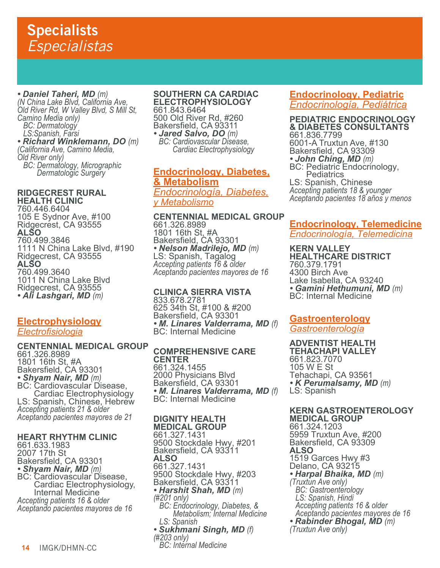*• Daniel Taheri, MD (m) (N China Lake Blvd, California Ave, Old River Rd, W Valley Blvd, S Mill St, Camino Media only) BC: Dermatology LS:Spanish, Farsi • Richard Winklemann, DO (m) (California Ave, Camino Media, Old River only)*

 *BC: Dermatology, Micrographic Dermatologic Surgery*

### **RIDGECREST RURAL HEALTH CLINIC**

760.446.6404 105 E Sydnor Ave, #100 Ridgecrest, CA 93555 **ALSO**  760.499.3846 1111 N China Lake Blvd, #190 Ridgecrest, CA 93555 **ALSO** 760.499.3640 1011 N China Lake Blvd Ridgecrest, CA 93555 *• Ali Lashgari, MD (m)*

# **Electrophysiology**

*Electrofisiologia*

**CENTENNIAL MEDICAL GROUP** 661.326.8989 1801 16th St, #A Bakersfield, CA 93301<br>• Shyam Nair, MD (m) BC: Cardiovascular Disease, Cardiac Electrophysiology LS: Spanish, Chinese, Hebrew *Accepting patients 21 & older Aceptando pacientes mayores de 21*

#### **HEART RHYTHM CLINIC** 661.633.1983 2007 17th St Bakersfield, CA 93301<br>• Shyam Nair, MD (m) **BC: Cardiovascular Disease,**  Cardiac Electrophysiology, Internal Medicine *Accepting patients 16 & older Aceptando pacientes mayores de 16*

### **SOUTHERN CA CARDIAC ELECTROPHYSIOLOGY** 661.843.6464 500 Old River Rd, #260 Bakersfield, CA 93311<br>• Jared Salvo, DO (m) *• Jared Salvo, DO (m) BC: Cardiovascular Disease, Cardiac Electrophysiology*

**Endocrinology, Diabetes, & Metabolism** *Endocrinología, Diabetes, y Metabolismo*

**CENTENNIAL MEDICAL GROUP** 661.326.8989 1801 16th St, #A Bakersfield, CA 93301 *• Nelson Madrilejo, MD (m)* LS: Spanish, Tagalog *Accepting patients 16 & older Aceptando pacientes mayores de 16* 

**CLINICA SIERRA VISTA** 833.678.2781 625 34th St, #100 & #200 Bakersfield, CA 93301 *• M. Linares Valderrama, MD (f)* BC: Internal Medicine

### **COMPREHENSIVE CARE CENTER**

661.324.1455 2000 Physicians Blvd Bakersfield, CA 93301 *• M. Linares Valderrama, MD (f)* BC: Internal Medicine

**DIGNITY HEALTH MEDICAL GROUP** 661.327.1431 9500 Stockdale Hwy, #201 Bakersfield, CA 93311 **ALSO** 661.327.1431 9500 Stockdale Hwy, #203 Bakersfield, CA 93311 *• Harshit Shah, MD (m) (#201 only) BC: Endocrinology, Diabetes, & Metabolism; Internal Medicine LS: Spanish • Sukhmani Singh, MD (f) (#203 only) BC: Internal Medicine* 

# **Endocrinology, Pediatric** *Endocrinología, Pediátrica*

**PEDIATRIC ENDOCRINOLOGY & DIABETES CONSULTANTS** 661.836.7799 6001-A Truxtun Ave, #130 Bakersfield, CA 93309 • John Ching, MD (m)<br>BC: Pediatric Endocrinology, **Pediatrics** LS: Spanish, Chinese<br>Accepting patients 18 & younger *Accepting patients 18 & younger Aceptando pacientes 18 años y menos*

# **Endocrinology, Telemedicine** *Endocrinología, Telemedicina*

**KERN VALLEY HEALTHCARE DISTRICT** 760.379.1791 4300 Birch Ave Lake Isabella, CA 93240 *• Gamini Hethumuni, MD (m)* BC: Internal Medicine

# **Gastroenterology**

*Gastroenterología*

# **ADVENTIST HEALTH**

**TEHACHAPI VALLEY**  661.823.7070 105 W E St Tehachapi, CA 93561 *• K Perumalsamy, MD (m)* LS: Spanish

#### **KERN GASTROENTEROLOGY MEDICAL GROUP**

661.324.1203 5959 Truxtun Ave, #200 Bakersfield, CA 93309 **ALSO** 1519 Garces Hwy #3 Delano, CA 93215 *• Harpal Bhaika, MD (m) (Truxtun Ave only) BC: Gastroenterology LS: Spanish, Hindi Accepting patients 16 & older Aceptando pacientes mayores de 16 • Rabinder Bhogal, MD (m) (Truxtun Ave only)*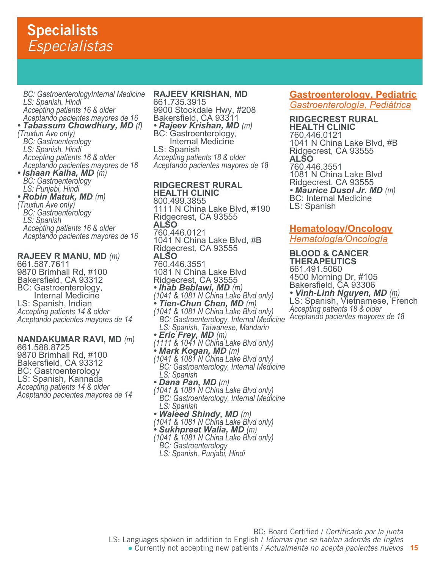*BC: GastroenterologyInternal Medicine LS: Spanish, Hindi Accepting patients 16 & older Aceptando pacientes mayores de 16 • Tabassum Chowdhury, MD (f) (Truxtun Ave only) BC: Gastroenterology LS: Spanish, Hindi Accepting patients 16 & older Aceptando pacientes mayores de 16*  • *Ishaan Kalha, MD (m) LS: Punjabi, Hindi • Robin Matuk, MD (m) (Truxtun Ave only) BC: Gastroenterology LS: Spanish Accepting patients 16 & older Aceptando pacientes mayores de 16*

**RAJEEV R MANU, MD** *(m)* 661.587.7611 9870 Brimhall Rd, #100 Bakersfield, CA 93312 BC: Gastroenterology,<br>Internal Medicine LS: Spanish, Indian *Accepting patients 14 & older Aceptando pacientes mayores de 14* 

# **NANDAKUMAR RAVI, MD** *(m)* 661.588.8725

9870 Brimhall Rd, #100 Bakersfield, CA 93312 BC: Gastroenterology LS: Spanish, Kannada *Accepting patients 14 & older Aceptando pacientes mayores de 14*  **RAJEEV KRISHAN, MD** 661.735.3915 9900 Stockdale Hwy, #208 Bakersfield, CA 93311 *• Rajeev Krishan, MD (m)* BC: Gastroenterology, Internal Medicine LS: Spanish *Accepting patients 18 & older Aceptando pacientes mayores de 18*

**RIDGECREST RURAL HEALTH CLINIC** 800.499.3855 1111 N China Lake Blvd, #190 Ridgecrest, CA 93555 **ALSO** 760.446.0121 1041 N China Lake Blvd, #B Ridgecrest, CA 93555 **ALSO** 760.446.3551 1081 N China Lake Blvd Ridgecrest, CA 93555<br>• **Ihab Beblawi, MD** (m) *• Ihab Beblawi, MD (m) (1041 & 1081 N China Lake Blvd only) • Tien-Chun Chen, MD (m) (1041 & 1081 N China Lake Blvd only) BC: Gastroenterology, Internal Medicine LS: Spanish, Taiwanese, Mandarin • Eric Frey, MD (m) (1111 & 1041 N China Lake Blvd only) • Mark Kogan, MD (m) (1041 & 1081 N China Lake Blvd only) BC: Gastroenterology, Internal Medicine LS: Spanish • Dana Pan, MD (m) (1041 & 1081 N China Lake Blvd only) BC: Gastroenterology, Internal Medicine LS: Spanish • Waleed Shindy, MD (m) (1041 & 1081 N China Lake Blvd only)*

#### **Gastroenterology, Pediatric** *Gastroenterología, Pediátrica*

### **RIDGECREST RURAL HEALTH CLINIC**

760.446.0121 1041 N China Lake Blvd, #B Ridgecrest, CA 93555 **ALSO** 760.446.3551 1081 N China Lake Blvd Ridgecrest, CA 93555 *• Măurice Dusol Jr. MD (m)*<br>BC: Internal Medicine LS: Spanish

# **Hematology/Oncology**

*Hematología/Oncología*

#### **BLOOD & CANCER THERAPEUTICS**

661.491.5060 4500 Morning Dr, #105 Bakersfield, CA 93306

*• Vinh-Linh Nguyen, MD (m)* LS: Spanish, Vietnamese, French *Accepting patients 18 & older Aceptando pacientes mayores de 18* 

- 
- 
- 
- *Sukhpreet Walia, MD (m) (1041 & 1081 N China Lake Blvd only)*
- *BC: Gastroenterology*
- *LS: Spanish, Punjabi, Hindi*

BC: Board Certified / *Certificado por la junta*

LS: Languages spoken in addition to English / *Idiomas que se hablan además de Ingles*

**15** ● Currently not accepting new patients / *Actualmente no acepta pacientes nuevos*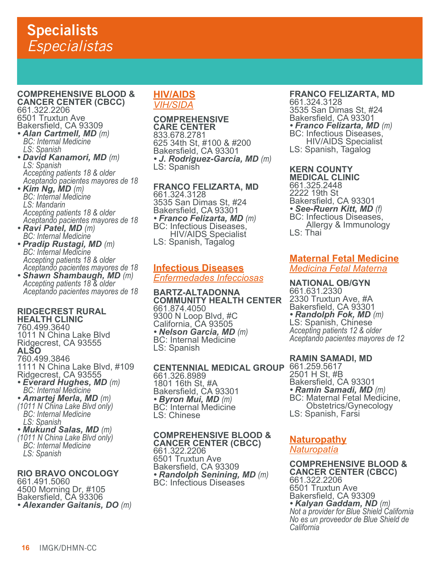**COMPREHENSIVE BLOOD & CANCER CENTER (CBCC)** 661.322.2206 6501 Truxtun Ave Bakersfield, CA 93309

- *Alan Cartmell, MD (m) BC: Internal Medicine LS: Spanish*
- *David Kanamori, MD (m) LS: Spanish Accepting patients 18 & older Aceptando pacientes mayores de 18*
- *Kim Ng, MD (m) BC: Internal Medicine LS: Mandarin Accepting patients 18 & older Aceptando pacientes mayores de 18*
- *Ravi Patel, MD (m) BC: Internal Medicine*
- *Pradip Rustagi, MD (m) BC: Internal Medicine Accepting patients 18 & older Aceptando pacientes mayores de 18*
- *Shawn Shambaugh, MD (m) Accepting patients 18 & older Aceptando pacientes mayores de 18*

**RIDGECREST RURAL HEALTH CLINIC** 760.499.3640 1011 N China Lake Blvd Ridgecrest, CA 93555 **ALSO** 760.499.3846 1111 N China Lake Blvd, #109 Ridgecrest, CA 93555 *• Everard Hughes, MD (m) BC: Internal Medicine • Amartej Merla, MD (m) (1011 N China Lake Blvd only) BC: Internal Medicine LS: Spanish • Mukund Salas, MD (m) (1011 N China Lake Blvd only)*

 *BC: Internal Medicine LS: Spanish*

# **RIO BRAVO ONCOLOGY**

661.491.5060 4500 Morning Dr, #105 Bakersfield, CA 93306 *• Alexander Gaitanis, DO (m)*

# **HIV/AIDS** *VIH/SIDA*

## **COMPREHENSIVE CARE CENTER** 833.678.2781

625 34th St, #100 & #200 Bakersfield, CA 93301 *• J. Rodriguez-Garcia, MD (m)* LS: Spanish

**FRANCO FELIZARTA, MD** 661.324.3128 3535 San Dimas St, #24 Bakersfield, CA 93301 *• Franco Felizarta, MD (m)* BC: Infectious Diseases, **HIV/AIDS** Specialist LS: Spanish, Tagalog

# **Infectious Diseases** *Enfermedades Infecciosas*

**BARTZ-ALTADONNA COMMUNITY HEALTH CENTER** 661.874.4050 9300 N Loop Blvd, #C California, CA 93505 • *Nelson Garcia, MD (m)*<br>BC: Internal Medicine LS: Spanish

**CENTENNIAL MEDICAL GROUP** 661.326.8989 1801 16th St, #A Bakersfield, CA 93301<br>• *Byron Mui, MD (m)* **BC: Internal Medicine** LS: Chinese

# **COMPREHENSIVE BLOOD &**

**CANCER CENTER (CBCC)** 661.322.2206 6501 Truxtun Ave Bakersfield, CA 93309 *• Randolph Senining, MD (m)* BC: Infectious Diseases

# **FRANCO FELIZARTA, MD**

661.324.3128 3535 San Dimas St, #24 Bakersfield, CA 93301 *• Franco Felizarta, MD (m)*<br>BC: Infectious Diseases, HIV/AIDS Specialist LS: Spanish, Tagalog

# **KERN COUNTY**

**MEDICAL CLINIC** 661.325.2448 2222 19th St Bakersfield, CA 93301 *• See-Ruern Kitt, MD (f)* BC: Infectious Diseases, Allergy & Immunology LS: Thai

# **Maternal Fetal Medicine** *Medicina Fetal Materna*

**NATIONAL OB/GYN** 661.631.2330 2330 Truxtun Ave, #A Bakersfield, CA 93301 *• Randolph Fok, MD (m)* LS: Spanish, Chinese *Accepting patients 12 & older Aceptando pacientes mayores de 12*

# **RAMIN SAMADI, MD**

661.259.5617 2501 H St, #B Bakersfield, CA 93301<br>• Ramin Samadi, MD (m) **BC: Maternal Fetal Medicine,**  Obstetrics/Gynecology LS: Spanish, Farsi

# **Naturopathy** *Naturopatía*

**COMPREHENSIVE BLOOD & CANCER CENTER (CBCC)** 661.322.2206 6501 Truxtun Ave Bakersfield, CA 93309<br>• Kalyan Gaddam, ND (m) *• Kalyan Gaddam, ND (m) Not a provider for Blue Shield California No es un proveedor de Blue Shield de California*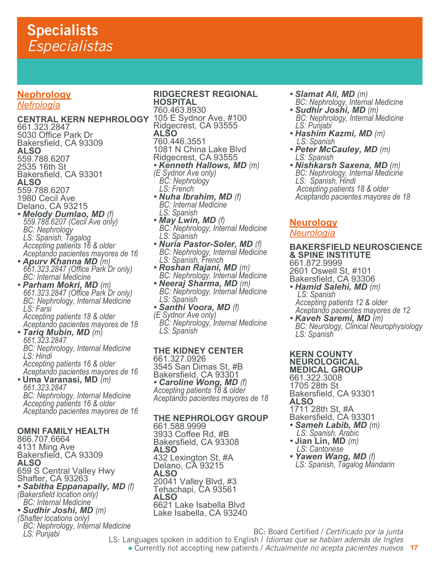# **Nephrology**

*Nefrología*

#### **CENTRAL KERN NEPHROLOGY** 105 E Sydnor Ave, #100 661.323.2847 5030 Office Park Dr

- Bakersfield, CA 93309 **ALSO** 559.788.6207 2535 16th St Bakersfield, CA 93301 **ALSO** 559.788.6207 1980 Cecil Ave Delano, CA 93215
- *Melody Dumlao, MD (f) 559.788.6207 (Cecil Ave only) BC: Nephrology LS: Spanish, Tagalog Accepting patients 16 & older Aceptando pacientes mayores de 16*
- *Apurv Khanna MD (m) 661.323.2847 (Office Park Dr only) BC: Internal Medicine*
- *Parham Mokri, MD (m) 661.323.2847 (Office Park Dr only) BC: Nephrology, Internal Medicine LS: Farsi*

 *Accepting patients 18 & older Aceptando pacientes mayores de 18*

- *Tariq Mubin, MD (m) 661.323.2847 BC: Nephrology, Internal Medicine LS: Hindi Accepting patients 16 & older Aceptando pacientes mayores de 16*
- **Uma Varanasi, MD** *(m) 661.323.2847 BC: Nephrology, Internal Medicine Accepting patients 16 & older Aceptando pacientes mayores de 16*

# **OMNI FAMILY HEALTH**

866.707.6664 4131 Ming Ave Bakersfield, CA 93309 **ALSO** 659 S Central Valley Hwy Shafter, CA 93263 *• Sabitha Eppanapally, MD (f) (Bakersfield location only)* <sup>`</sup> *BC: Internal Medicine´´*<br>• Sudhir Joshi, MD (m) *• Sudhir Joshi, MD (m) (Shafter locations only) BC: Nephrology, Internal Medicine LS: Punjabi*

# **RIDGECREST REGIONAL**

**HOSPITAL** 760.463.8930 Ridgecrest, CA 93555 **ALSO** 760.446.3551 1081 N China Lake Blvd Ridgecrest, CA 93555 **• Kenneth Hallows, MD** (m)  *BC: Nephrology LS: French*

- *Nuha Ibrahim, MD (f) BC: Internal Medicine LS: Spanish*
- *May Lwin, MD (f) BC: Nephrology, Internal Medicine LS: Spanish*
- *Nuria Pastor-Soler, MD (f) BC: Nephrology, Internal Medicine LS: Spanish, French*
- *<i>• BC: Nephrology, Internal Medicine*<br>• *Neeraj Sharma, MD (m)*
- *Neeraj Sharma, MD (m) BC: Nephrology, Internal Medicine LS: Spanish*
- *Santhi Voora, MD (f) (E Sydnor Ave only)*
- *BC: Nephrology, Internal Medicine LS: Spanish*

# **THE KIDNEY CENTER**

661.327.0926 3545 San Dimas St, #B Bakersfield, CA 93301 *• Caroline Wong, MD (f) Accepting patients 18 & older Aceptando pacientes mayores de 18*

#### **THE NEPHROLOGY GROUP** 661.588.9999 3933 Coffee Rd, #B Bakersfield, CA 93308 **ALSO** 432 Lexington St, #A Delano, CA 93215 **ALSO** 20041 Valley Blvd, #3 Tehachapi, CA 93561 **ALSO** 6621 Lake Isabella Blvd Lake Isabella, CA 93240

- 
- Slamat Ali, MD (m)<br><sup>BC: Nephrology, Internal Medicine<br>• Sudhir Joshi, MD (m)</sup> *• Sudhir Joshi, MD (m) BC: Nephrology, Internal Medicine LS: Punjabi*
- *Hashim Kazmi, MD (m)**LS: Spanish*
- *Peter McCauley, MD (m) LS: Spanish*
- *Nishkarsh Saxena, MD (m) BC: Nephrology, Internal Medicine LS: Spanish, Hindi Accepting patients 18 & older Aceptando pacientes mayores de 18*

# **Neurology**

# *Neurología*

# **BAKERSFIELD NEUROSCIENCE & SPINE INSTITUTE**

661.872.9999

2601 Oswell St, #101 Bakersfield, CA 93306

- *Hamid Salehi, MD (m) LS: Spanish Accepting patients 12 & older*
- *Aceptando pacientes mayores de 12*
- *Kaveh Saremi, MD (m) BC: Neurology, Clinical Neurophysiology LS: Spanish*

#### **KERN COUNTY NEUROLOGICAL MEDICAL GROUP**

661.322.3008 1705 28th St Bakersfield, CA 93301

# **ALSO**

1711 28th St, #A

- Bakersfield, CA 93301
- *Sameh Labib, MD (m)**LS: Spanish, Arabic*
- **Jian Lin, MD** *(m) LS: Cantonese*
- *<i>LS: Spanish, Tagalog Mandarin*

BC: Board Certified / *Certificado por la junta*

LS: Languages spoken in addition to English / *Idiomas que se hablan además de Ingles*

**17** ● Currently not accepting new patients / *Actualmente no acepta pacientes nuevos*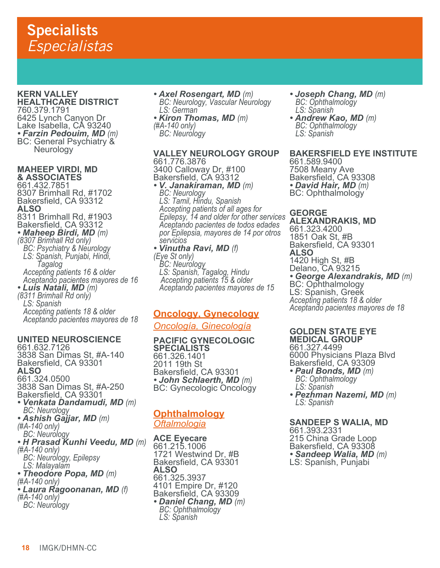**KERN VALLEY HEALTHCARE DISTRICT** 760.379.1791 6425 Lynch Canyon Dr

Lake Isabella, CÁ 93240<br>*• Farzin Pedouim, MD (m)* **BC: General Psychiatry &** Neurology

### **MAHEEP VIRDI, MD & ASSOCIATES**

661.432.7851 8307 Brimhall Rd, #1702 Bakersfield, CA 93312 **ALSO** 8311 Brimhall Rd, #1903 Bakersfield, CA 93312 *• Maheep Birdi, MD (m) (8307 Brimhall Rd only) BC: Psychiatry & Neurology LS: Spanish, Punjabi, Hindi, Tagalog Accepting patients 16 & older Aceptando pacientes mayores de 16 • Luis Natali, MD (m) (8311 Brimhall Rd only) LS: Spanish Accepting patients 18 & older Aceptando pacientes mayores de 18* 

### **UNITED NEUROSCIENCE**

661.632.7126 3838 San Dimas St, #A-140 Bakersfield, CA 93301 **ALSO** 661.324.0500 3838 San Dimas St, #A-250 Bakersfield, CA 93301 *• Venkata Dandamudi, MD (m) BC: Neurology • Ashish Gajjar, MD (m) (#A-140 only) BC: Neurology • H Prasad Kunhi Veedu, MD (m) (#A-140 only) BC: Neurology, Epilepsy LS: Malayalam • Theodore Popa, MD (m) (#A-140 only) • Laura Ragoonanan, MD (f) (#A-140 only) BC: Neurology*

# *• Axel Rosengart, MD (m) BC: Neurology, Vascular Neurology LS: German • Kiron Thomas, MD (m) (#A-140 only) BC: Neurology*

# **VALLEY NEUROLOGY GROUP**

661.776.3876 3400 Calloway Dr, #100 Bakersfield, CA 93312

*• V. Janakiraman, MD (m) BC: Neurology LS: Tamil, Hindu, Spanish Accepting patients of all ages for Epilepsy, 14 and older for other services Aceptando pacientes de todos edades por Epilepsia, mayores de 14 por otros servicios • Vinutha Ravi, MD (f) (Eye St only)*

 *BC: Neurology LS: Spanish, Tagalog, Hindu Accepting patients 15 & older Aceptando pacientes mayores de 15*

# **Oncology, Gynecology**

# *Oncología, Ginecología*

### **PACIFIC GYNECOLOGIC SPECIALISTS** 661.326.1401 2011 19th St Bakersfield, CA 93301<br>• John Schlaerth, MD (m) **BC: Gynecologic Oncology**

# **Ophthalmology** *Oftalmologia*

**ACE Eyecare** 661.215.1006 1721 Westwind Dr, #B Bakersfield, CA 93301 **ALSO** 661.325.3937 4101 Empire Dr, #120 Bakersfield, CA 93309 **• Daniel Chang, MD** (m)  *LS: Spanish*

- *Joseph Chang, MD (m) BC: Ophthalmology LS: Spanish*
- *Andrew Kao, MD (m) BC: Ophthalmology LS: Spanish*

# **BAKERSFIELD EYE INSTITUTE**

661.589.9400 7508 Meany Ave Bakersfield, CA 93308 *• David Hair, MD (m)* BC: Ophthalmology

# **GEORGE**

**ALEXANDRAKIS, MD** 661.323.4200 1851 Oak St, #B Bakersfield, CA 93301 **ALSO** 1420 High St, #B Delano, CA 93215 **• George Alexandrakis, MD** (m)<br>BC: Ophthalmology LS: Spanish, Greek *Accepting patients 18 & older Aceptando pacientes mayores de 18*

# **GOLDEN STATE EYE MEDICAL GROUP**

661.327.4499 6000 Physicians Plaza Blvd Bakersfield, CA 93309

- *Paul Bonds, MD (m) BC: Ophthalmology LS: Spanish*
- *Pezhman Nazemi, MD (m) LS: Spanish*

### **SANDEEP S WALIA, MD**

661.393.2331 215 China Grade Loop Bakersfield, CA 93308 *• Sandeep Walia, MD (m)* LS: Spanish, Punjabi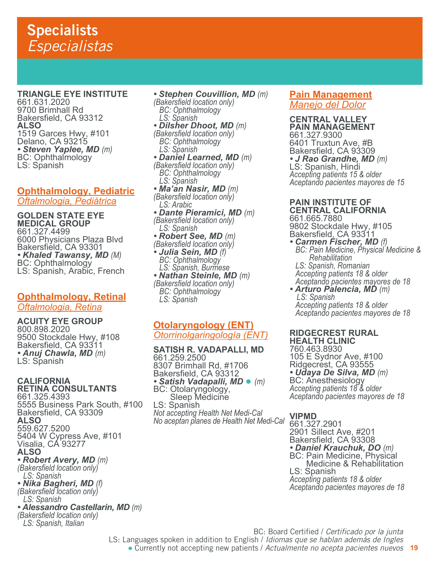# **TRIANGLE EYE INSTITUTE**

661.631.2020 9700 Brimhall Rd Bakersfield, CA 93312 **ALSO** 1519 Garces Hwy, #101 Delano, CA 93215 • **Steven Yaplee, MD** (m)<br>BC: Ophthalmology LS: Spanish

# **Ophthalmology, Pediatric** *Oftalmologia, Pediátrica*

**GOLDEN STATE EYE MEDICAL GROUP** 661.327.4499 6000 Physicians Plaza Blvd Bakersfield, CA 93301<br>• *Khaled Tawansy, MD (M) • Khaled Tawansy, MD (M)* BC: Ophthalmology LS: Spanish, Arabic, French

# **Ophthalmology, Retinal** *Oftalmologia, Retina*

**ACUITY EYE GROUP** 800.898.2020 9500 Stockdale Hwy, #108 Bakersfield, CA 93311 *• Anuj Chawla, MD (m)* LS: Spanish

# **CALIFORNIA**

**RETINA CONSULTANTS** 661.325.4393 5555 Business Park South, #100 Bakersfield, CA 93309 **ALSO**  559.627.5200 5404 W Cypress Ave, #101 Visalia, CA 93277 **ALSO** *• Robert Avery, MD (m) (Bakersfield location only) LS: Spanish • Nika Bagheri, MD (f) (Bakersfield location only) LS: Spanish • Alessandro Castellarin, MD (m) (Bakersfield location only) LS: Spanish, Italian* 

*• Stephen Couvillion, MD (m) (Bakersfield location only) BC: Ophthalmology LS: Spanish • Dilsher Dhoot, MD (m) (Bakersfield location only) BC: Ophthalmology LS: Spanish • Daniel Learned, MD (m) (Bakersfield location only) BC: Ophthalmology LS: Spanish • Ma'an Nasir, MD (m) (Bakersfield location only) LS: Arabic • Dante Pieramici, MD (m) (Bakersfield location only) LS: Spanish • Robert See, MD (m) (Bakersfield location only) • Julia Sein, MD (f) BC: Ophthalmology LS: Spanish, Burmese • Nathan Steinle, MD (m) (Bakersfield location only) BC: Ophthalmology LS: Spanish*

# **Otolaryngology (ENT)** *Otorrinolgaringología (ENT)*

**SATISH R. VADAPALLI, MD** 661.259.2500 8307 Brimhall Rd, #1706 Bakersfield, CA 93312 *• Satish Vadapalli, MD* ● *(m)* BC: Otolaryngology, Sleep Medicine LS: Spanish *Not accepting Health Net Medi-Cal No aceptan planes de Health Net Medi-Cal*

# **Pain Management** *Manejo del Dolor*

**CENTRAL VALLEY PAIN MANAGEMENT** 661.327.9300 6401 Truxtun Ave, #B Bakersfield, CA 93309 *• J Rao Grandhe, MD (m)* LS: Spanish, Hindi *Accepting patients 15 & older Aceptando pacientes mayores de 15* 

#### **PAIN INSTITUTE OF CENTRAL CALIFORNIA** 661.665.7880

9802 Stockdale Hwy, #105 Bakersfield, CA 93311

- *Carmen Fischer, MD (f) BC: Pain Medicine, Physical Medicine & Rehabilitation LS: Spanish, Romanian Accepting patients 18 & older*
- *Aceptando pacientes mayores de 18 • Arturo Palencia, MD (m)**LS: Spanish Accepting patients 18 & older Aceptando pacientes mayores de 18*

### **RIDGECREST RURAL HEALTH CLINIC**

760.463.8930 105 E Sydnor Ave, #100 Ridgecrest, CA 93555<br>• Udaya De Silva, MD (m) *• Udaya De Silva, MD (m)* BC: Anesthesiology *Accepting patients 18 & older Aceptando pacientes mayores de 18*

# **VIPMD**

661.327.2901 2901 Sillect Ave, #201 Bakersfield, CA 93308 *• Daniel Krauchuk, DO (m)* BC: Pain Medicine, Physical Medicine & Rehabilitation LS: Spanish *Accepting patients 18 & older Aceptando pacientes mayores de 18*

BC: Board Certified / *Certificado por la junta* LS: Languages spoken in addition to English / *Idiomas que se hablan además de Ingles*

**19** ● Currently not accepting new patients / *Actualmente no acepta pacientes nuevos*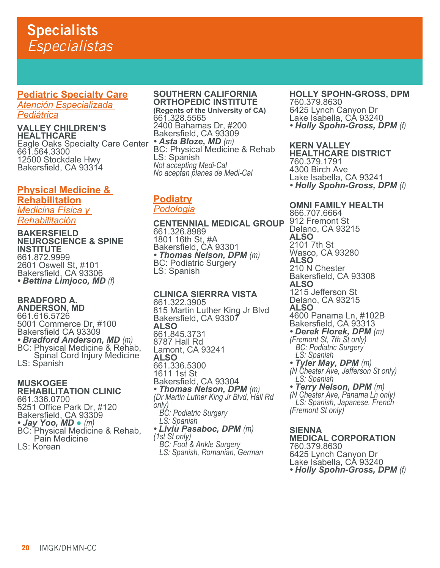# **Pediatric Specialty Care**

*Atención Especializada Pediátrica*

**VALLEY CHILDREN'S HEALTHCARE** Eagle Oaks Specialty Care Center 661.564.3300 12500 Stockdale Hwy Bakersfield, CA 93314

# **Physical Medicine & Rehabilitation**

*Medicina Física y Rehabilitación*

**BAKERSFIELD NEUROSCIENCE & SPINE INSTITUTE** 661.872.9999 2601 Oswell St, #101 Bakersfield, CA 93306 *• Bettina Limjoco, MD (f)* 

# **BRADFORD A.**

**ANDERSON, MD** 661.616.5726 5001 Commerce Dr, #100 Bakersfield CA 93309<br>• Bradford Anderson, MD (m) **BC: Physical Medicine & Rehab,**  Spinal Cord Injury Medicine LS: Spanish

### **MUSKOGEE REHABILITATION CLINIC**

661.336.0700 5251 Office Park Dr, #120 Bakersfield, CA 93309 **• Jay Yoo, MD •** (*m*)<br>BC: Physical Medicine & Rehab, Pain Medicine LS: Korean

# **SOUTHERN CALIFORNIA**

**ORTHOPEDIC INSTITUTE (Regents of the University of CA)** 661.328.5565 2400 Bahamas Dr, #200 Bakersfield, CA 93309<br>• *Asta Bloze, MD (m)* **BC: Physical Medicine & Rehab** LS: Spanish *Not accepting Medi-Cal No aceptan planes de Medi-Cal*

# **Podiatry**

*Podologia*

**CENTENNIAL MEDICAL GROUP** 661.326.8989 1801 16th St, #A Bakersfield, CA 93301 *• Thomas Nelson, DPM (m)* BC: Podiatric Surgery LS: Spanish

### **CLINICA SIERRRA VISTA**

661.322.3905 815 Martin Luther King Jr Blvd Bakersfield, CA 93307 **ALSO** 661.845.3731 8787 Hall Rd Lamont, CA 93241 **ALSO** 661.336.5300 1611 1st St Bakersfield, CA 93304<br>• Thomas Nelson, DPM (m) *• Thomas Nelson, DPM (m) (Dr Martin Luther King Jr Blvd, Hall Rd only) BC: Podiatric Surgery LS: Spanish • Liviu Pasaboc, DPM (m) (1st St only) BC: Foot & Ankle Surgery LS: Spanish, Romanian, German*

**HOLLY SPOHN-GROSS, DPM** 760.379.8630 6425 Lynch Canyon Dr Lake Isabella, CA 93240 *• Holly Spohn-Gross, DPM (f)*

**KERN VALLEY HEALTHCARE DISTRICT** 760.379.1791 4300 Birch Ave Lake Isabella, CA 93241 *• Holly Spohn-Gross, DPM (f)*

**OMNI FAMILY HEALTH** 866.707.6664 912 Fremont St Delano, CA 93215 **ALSO** 2101 7th St Wasco, CA 93280 **ALSO** 210 N Chester Bakersfield, CA 93308 **ALSO** 1215 Jefferson St Delano, CA 93215 **ALSO** 4600 Panama Ln, #102B Bakersfield, CA 93313 *• Derek Florek, DPM (m) (Fremont St, 7th St only) BC: Podiatric Surgery LS: Spanish*<br>• Tyler May, DPM (m) *• Tyler May, DPM (m) (N Chester Ave, Jefferson St only) LS: Spanish • Terry Nelson, DPM (m) (N Chester Ave, Panama Ln only) LS: Spanish, Japanese, French (Fremont St only)*

**SIENNA MEDICAL CORPORATION** 760.379.8630 6425 Lynch Canyon Dr Lake Isabella, CA 93240 *• Holly Spohn-Gross, DPM (f)*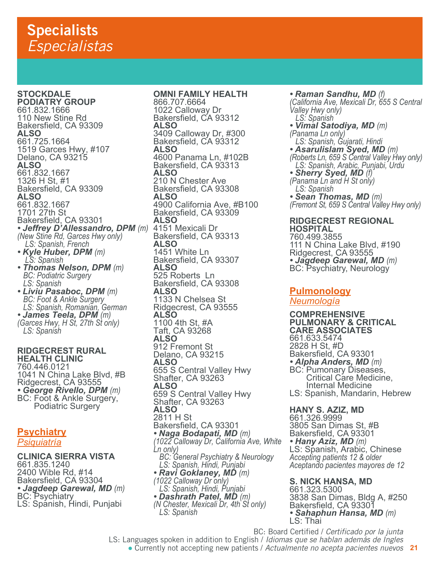# **STOCKDALE**

**PODIATRY GROUP** 661.832.1666 110 New Stine Rd Bakersfield, CA 93309 **ALSO** 661.725.1664 1519 Garces Hwy, #107 Delano, CA 93215 **ALSO** 661.832.1667 1326 H St, #1 Bakersfield, CA 93309 **ALSO** 661.832.1667 1701 27th St Bakersfield, CA 93301 *• Jeffrey D'Allessandro, DPM (m) (New Stine Rd, Garces Hwy only) LS: Spanish, French • Kyle Huber, DPM (m) LS: Spanish • Thomas Nelson, DPM (m) BC: Podiatric Surgery LS: Spanish • Liviu Pasaboc, DPM (m) BC: Foot & Ankle Surgery LS: Spanish, Romanian, German • James Teela, DPM (m) (Garces Hwy, H St, 27th St only)*

# *LS: Spanish*

# **RIDGECREST RURAL HEALTH CLINIC** 760.446.0121

1041 N China Lake Blvd, #B Ridgecrest, CA 93555 *• George Rivello, DPM (m)* BC: Foot & Ankle Surgery, Podiatric Surgery

# **Psychiatry** *Psiquiatría*

### **CLINICA SIERRA VISTA** 661.835.1240 2400 Wible Rd, #14 Bakersfield, CA 93304 *• Jagdeep Garewal, MD (m)* BC: Psychiatry

LS: Spanish, Hindi, Punjabi

**OMNI FAMILY HEALTH** 866.707.6664 1022 Calloway Dr Bakersfield, CA 93312 **ALSO** 3409 Calloway Dr, #300 Bakersfield, CA 93312 **ALSO** 4600 Panama Ln, #102B Bakersfield, CA 93313 **ALSO** 210 N Chester Ave Bakersfield, CA 93308 **ALSO** 4900 California Ave, #B100 Bakersfield, CA 93309 **ALSO** 4151 Mexicali Dr Bakersfield, CA 93313<br>ALSO **ALSO** 1451 White Ln Bakersfield, CA 93307 **ALSO** 525 Roberts Ln Bakersfield, CA 93308 **ALSO** 1133 N Chelsea St Ridgecrest, CA 93555 **ALSO** 1100 4th St, #A Taft, CA 93268 **ALSO** 912 Fremont St Delano, CA 93215 **ALSO** 655 S Central Valley Hwy Shafter, CA 93263 **ALSO** 659 S Central Valley Hwy Shafter, CA 93263 **ALSO** 2811 H St Bakersfield, CA 93301<br>• Naga Bodapati, MD (m) *• Naga Bodapati, MD (m) (1022 Calloway Dr, California Ave, White Ln only) BC: General Psychiatry & Neurology LS: Spanish, Hindi, Punjabi • Ravi Goklaney, MD (m) (1022 Calloway Dr only) LS: Spanish, Hindi, Punjabi • Dashrath Patel, MD (m) (N Chester, Mexicali Dr, 4th St only) LS: Spanish*

*• Raman Sandhu, MD (f) (California Ave, Mexicali Dr, 655 S Central Valley Hwy only) LS: Spanish*

- *Vimal Satodiya, MD (m) (Panama Ln only) LS: Spanish, Gujarati, Hindi*
- *Asarulislam Syed, MD (m) (Roberts Ln, 659 S Central Valley Hwy only) LS: Spanish, Arabic, Punjabi, Urdu*
- *Sherry Syed, MD (f) (Panama Ln and H St only)*
- *LS: Spanish (Fremont St, 659 S Central Valley Hwy only)*

### **RIDGECREST REGIONAL HOSPITAL**

760.499.3855 111 N China Lake Blvd, #190 Ridgecrest, CA 93555 *• Jagdeep Garewal, MD (m)* BC: Psychiatry, Neurology

# **Pulmonology** *Neumología*

**COMPREHENSIVE PULMONARY & CRITICAL CARE ASSOCIATES** 661.633.5474 2828 H St, #D Bakersfield, CA 93301 *• Alpha Anders, MD (m)* BC: Pumonary Diseases, Critical Care Medicine, Internal Medicine LS: Spanish, Mandarin, Hebrew

### **HANY S. AZIZ, MD** 661.326.9999 3805 San Dimas St, #B Bakersfield, CA 93301<br>• Hany Aziz, MD (m) LS: Spanish, Arabic, Chinese *Accepting patients 12 & older Aceptando pacientes mayores de 12*

**S. NICK HANSA, MD** 661.323.5300 3838 San Dimas, Bldg A, #250 Bakersfield, CA 93301 *• Sahaphun Hansa, MD (m)* LS: Thai

**21** ● Currently not accepting new patients / *Actualmente no acepta pacientes nuevos* BC: Board Certified / *Certificado por la junta* LS: Languages spoken in addition to English / *Idiomas que se hablan además de Ingles*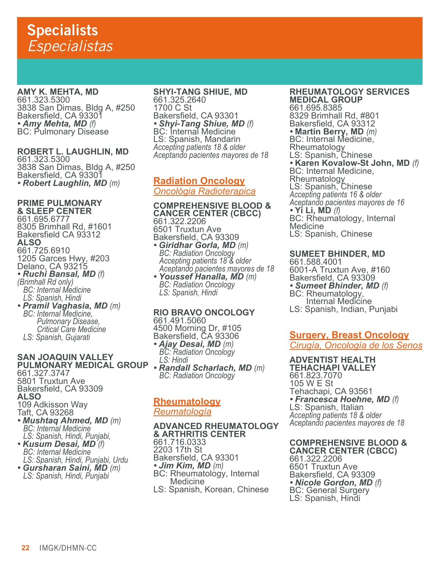**AMY K. MEHTA, MD** 661.323.5300 3838 San Dimas, Bldg A, #250 Bakersfield, CA 93301<br>• *Amy Mehta, MD (f) • Amy Mehta, MD (f)* BC: Pulmonary Disease

**ROBERT L. LAUGHLIN, MD** 661.323.5300 3838 San Dimas, Bldg A, #250 Bakersfield, CA 93301 *• Robert Laughlin, MD (m)* 

#### **PRIME PULMONARY & SLEEP CENTER**

661.695.6777 8305 Brimhall Rd, #1601 Bakersfield CA 93312 **ALSO** 661.725.6910 1205 Garces Hwy, #203 Delano, CA 93215 *• Ruchi Bansal, MD (f) (Brimhall Rd only)*

 *BC: Internal Medicine LS: Spanish, Hindi*

*• Pramil Vaghasia, MD (m) BC: Internal Medicine, Pulmonary Disease, Critical Care Medicine LS: Spanish, Gujarati*

#### **SAN JOAQUIN VALLEY PULMONARY MEDICAL GROUP** 661.327.3747

5801 Truxtun Ave Bakersfield, CA 93309 **ALSO** 109 Adkisson Way

- Taft, CA 93268 *• Mushtaq Ahmed, MD (m) BC: Internal Medicine LS: Spanish, Hindi, Punjabi,*
- *Kusum Desai, MD (f) BC: Internal Medicine LS: Spanish, Hindi, Punjabi, Urdu*
- *Gursharan Saini, MD (m) LS: Spanish, Hindi, Punjabi*

**SHYI-TANG SHIUE, MD** 661.325.2640 1700 C St Bakersfield, CA 93301 *• Shyi-Tang Shiue, MD (f)* BC: Internal Medicine LS: Spanish, Mandarin *Accepting patients 18 & older Aceptando pacientes mayores de 18*

**Radiation Oncology** *Oncológia Radioterapica*

#### **COMPREHENSIVE BLOOD & CANCER CENTER (CBCC)** 661.322.2206 6501 Truxtun Ave

Bakersfield, CA 93309<br>• Giridhar Gorla, MD (m) *• Giridhar Gorla, MD (m) BC: Radiation Oncology Accepting patients 18 & older Aceptando pacientes mayores de 18*

*• Youssef Hanalla, MD (m) BC: Radiation Oncology LS: Spanish, Hindi*

# **RIO BRAVO ONCOLOGY**

661.491.5060 4500 Morning Dr, #105 Bakersfield, CA 93306 *• Ajay Desai, MD (m) BC: Radiation Oncology LS: Hindi • Randall Scharlach, MD (m) BC: Radiation Oncology*

# **Rheumatology** *Reumatología*

#### **ADVANCED RHEUMATOLOGY & ARTHRITIS CENTER** 661.716.0333

2203 17th St Bakersfield, CA 93301<br>• Jim Kim, MD (m) **BC: Rheumatology, Internal**  Medicine LS: Spanish, Korean, Chinese

# **RHEUMATOLOGY SERVICES**

**MEDICAL GROUP** 661.695.8385 8329 Brimhall Rd, #801 Bakersfield, CA 93312 *•* **Martin Berry, MD** *(m)* BC: Internal Medicine, Rheumatology LS: Spanish, Chinese *•* **Karen Kovalow-St John, MD** *(f)* BC: Internal Medicine, Rheumatology LS: Spanish, Chinese *Accepting patients 16 & older Aceptando pacientes mayores de 16* **BC: Rheumatology, Internal** Medicine LS: Spanish, Chinese

### **SUMEET BHINDER, MD**

661.588.4001 6001-A Truxtun Ave, #160 Bakersfield, CA 93309 *• Sumeet Bhinder, MD (f)* BC: Rheumatology, Internal Medicine LS: Spanish, Indian, Punjabi

**Surgery, Breast Oncology** *Cirugía, Oncología de los Senos*

## **ADVENTIST HEALTH TEHACHAPI VALLEY** 661.823.7070 105 W E St Tehachapi, CA 93561 *• Francesca Hoehne, MD (f)* LS: Spanish, Italian *Accepting patients 18 & older*

*Aceptando pacientes mayores de 18*

# **COMPREHENSIVE BLOOD & CANCER CENTER (CBCC)** 661.322.2206 6501 Truxtun Ave Bakersfield, CA 93309 *• Nicole Gordon, MD (f)*<br>BC: General Surgery<br>LS: Spanish, Hindi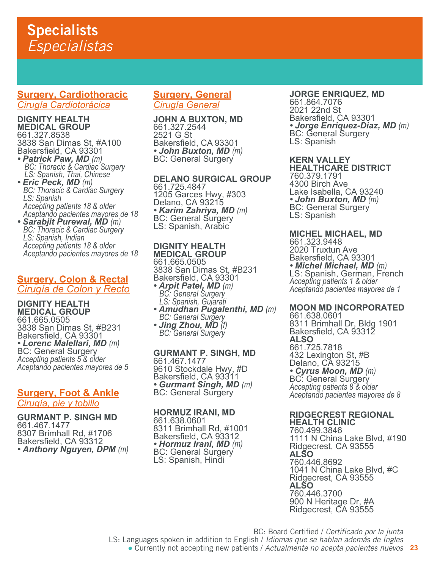# **Surgery, Cardiothoracic** *Cirugía Cardiotorácica*

**DIGNITY HEALTH MEDICAL GROUP** 661.327.8538 3838 San Dimas St, #A100 Bakersfield, CA 93301

*• Patrick Paw, MD (m)**BC: Thoracic & Cardiac Surgery* *LS: Spanish, Thai, Chinese*

*• Eric Peck, MD (m) BC: Thoracic & Cardiac Surgery LS: Spanish Accepting patients 18 & older Aceptando pacientes mayores de 18 • Sarabjit Purewal, MD (m) BC: Thoracic & Cardiac Surgery*

 *LS: Spanish, Indian Accepting patients 18 & older Aceptando pacientes mayores de 18*

# **Surgery, Colon & Rectal** *Cirugía de Colon y Recto*

**DIGNITY HEALTH MEDICAL GROUP** 661.665.0505 3838 San Dimas St, #B231 Bakersfield, CA 93301<br>• Lorenc Malellari, MD (m) *• Lorenc Malellari, MD (m)* BC: General Surgery *Accepting patients 5 & older Aceptando pacientes mayores de 5*

# **Surgery, Foot & Ankle** *Cirugía, pie y tobillo*

**GURMANT P. SINGH MD** 661.467.1477 8307 Brimhall Rd, #1706 Bakersfield, CA 93312 *• Anthony Nguyen, DPM (m)*

# **Surgery, General**

*Cirugía General*

# **JOHN A BUXTON, MD** 661.327.2544 2521 G St Bakersfield, CA 93301 *• John Buxton, MD (m)* BC: General Surgery

# **DELANO SURGICAL GROUP**

661.725.4847 1205 Garces Hwy, #303 Delano, CA 93215<br>• *Karim Zahriya, MD (m) • Karim Zahriya, MD (m)* BC: General Surgery LS: Spanish, Arabic

#### **DIGNITY HEALTH MEDICAL GROUP**

661.665.0505 3838 San Dimas St, #B231 Bakersfield, CA 93301 *• Arpit Patel, MD (m) BC: General Surgery LS: Spanish, Gujarati • Amudhan Pugalenthi, MD (m) BC: General Surgery*

*• Jing Zhou, MD (f) BC: General Surgery*

# **GURMANT P. SINGH, MD**

661.467.1477 9610 Stockdale Hwy, #D Bakersfield, CA 93311 *• Gurmant Singh, MD (m)* BC: General Surgery

# **HORMUZ IRANI, MD**

661.638.0601 8311 Brimhall Rd, #1001 Bakersfield, CA 93312 *• Hormuz Irani, MD (m)* BC: General Surgery LS: Spanish, Hindi

#### **JORGE ENRIQUEZ, MD** 661.864.7076 2021 22nd St

Bakersfield, CA 93301 *• Jorge Enriquez-Diaz, MD (m)* BC: General Surgery LS: Spanish

#### **KERN VALLEY HEALTHCARE DISTRICT**

760.379.1791 4300 Birch Ave Lake Isabella, CA 93240 *• John Buxton, MD (m)* BC: General Surgery LS: Spanish

# **MICHEL MICHAEL, MD**

661.323.9448 2020 Truxtun Ave Bakersfield, CA 93301<br>• Michel Michael, MD (m) *• Michel Michael, MD (m)* LS: Spanish, German, French *Accepting patients 1 & older Aceptando pacientes mayores de 1*

# **MOON MD INCORPORATED**

661.638.0601 8311 Brimhall Dr, Bldg 1901 Bakersfield, CA 93312 **ALSO** 661.725.7818 432 Lexington St, #B Delano, CA 93215 *• Cyrus Moon, MD (m)* BC: General Surgery *Accepting patients 8 & older Aceptando pacientes mayores de 8*

#### **RIDGECREST REGIONAL HEALTH CLINIC**

760.499.3846 1111 N China Lake Blvd, #190 Ridgecrest, CA 93555 **ALSO**  760.446.8692 1041 N China Lake Blvd, #C Ridgecrest, CA 93555 **ALSO** 760.446.3700 900 N Heritage Dr, #A Ridgecrest, CA 93555

**23** ● Currently not accepting new patients / *Actualmente no acepta pacientes nuevos* BC: Board Certified / *Certificado por la junta* LS: Languages spoken in addition to English / *Idiomas que se hablan además de Ingles*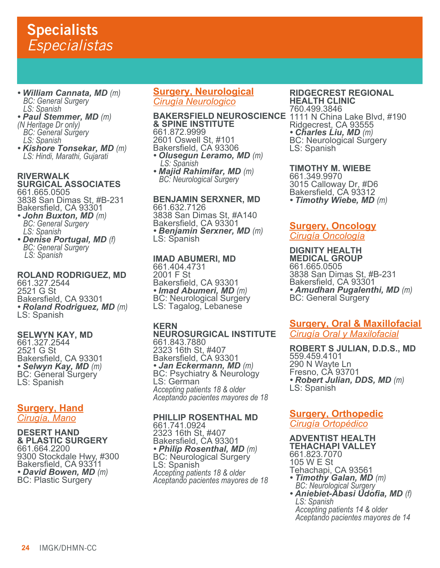• *William Cannata, MD (m)* **BC: General Surgery** 

*• Paul Stemmer, MD (m) (N Heritage Dr only) BC: General Surgery LS: Spanish*

*• Kishore Tonsekar, MD (m) LS: Hindi, Marathi, Gujarati*

### **RIVERWALK SURGICAL ASSOCIATES** 661.665.0505 3838 San Dimas St, #B-231

- Bakersfield, CA 93301 *• John Buxton, MD (m) BC: General Surgery*
- *LS: Spanish • Denise Portugal, MD (f) BC: General Surgery*
- *LS: Spanish*

# **ROLAND RODRIGUEZ, MD**

661.327.2544 2521 G St Bakersfield, CA 93301 *• Roland Rodriguez, MD (m)* LS: Spanish

# **SELWYN KAY, MD**

661.327.2544 2521 G St Bakersfield, CA 93301 *• Selwyn Kay, MD (m)* BC: General Surgery LS: Spanish

# **Surgery, Hand**

*Cirugía, Mano*

# **DESERT HAND**

**& PLASTIC SURGERY**  661.664.2200 9300 Stockdale Hwy, #300 Bakersfield, CA 93311 • *David Bowen, MD (m)*<br>BC: Plastic Surgery

# **Surgery, Neurological** *Cirugía Neurologico*

### **BAKERSFIELD NEUROSCIENCE**  1111 N China Lake Blvd, #190 **& SPINE INSTITUTE** 661.872.9999

2601 Oswell St, #101 Bakersfield, CA 93306

*• Olusegun Leramo, MD (m)**LS: Spanish • Majid Rahimifar, MD (m) BC: Neurological Surgery*

## **BENJAMIN SERXNER, MD**

661.632.7126 3838 San Dimas St, #A140 Bakersfield, CA 93301 *• Benjamin Serxner, MD (m)* LS: Spanish

## **IMAD ABUMERI, MD**

661.404.4731 2001 F St Bakersfield, CA 93301 **• Imad Abumeri, MD** (m)<br>BC: Neurological Surgery LS: Tagalog, Lebanese

# **KERN**

#### **NEUROSURGICAL INSTITUTE** 661.843.7880

2323 16th St, #407 Bakersfield, CA 93301<br>• Jan Eckermann, MD (m) **BC: Psychiatry & Neurology** LS: German *Accepting patients 18 & older Aceptando pacientes mayores de 18*

# **PHILLIP ROSENTHAL MD**

661.741.0924 2323 16th St, #407 Bakersfield, CA 93301 **• Philip Rosenthal, MD** (m)<br>BC: Neurological Surgery LS: Spanish *Accepting patients 18 & older Aceptando pacientes mayores de 18*

# **RIDGECREST REGIONAL HEALTH CLINIC**  760.499.3846 Ridgecrest, CA 93555<br>• *Charles Liu, MD (m) • Charles Liu, MD (m)* BC: Neurological Surgery

LS: Spanish

# **TIMOTHY M. WIEBE**

661.349.9970 3015 Calloway Dr, #D6 Bakersfield, CA 93312 *• Timothy Wiebe, MD (m)*

# **Surgery, Oncology**

*Cirugía Oncología*

### **DIGNITY HEALTH MEDICAL GROUP** 661.665.0505 3838 San Dimas St, #B-231 Bakersfield, CA 93301 **• Amudhan Pugalenthi, MD** (m)<br>BC: General Surgery

# **Surgery, Oral & Maxillofacial**  *Cirugía Oral y Maxilofacial*

**ROBERT S JULIAN, D.D.S., MD** 559.459.4101 290 N Wayte Ln Fresno, CA 93701 *• Robert Julian, DDS, MD (m)* LS: Spanish

# **Surgery, Orthopedic**

*Cirugía Ortopédico*

#### **ADVENTIST HEALTH TEHACHAPI VALLEY** 661.823.7070 105 W E St

Tehachapi, CA 93561

- *Timothy Galan, MD (m) BC: Neurological Surgery*
- *Aniebiet-Abasi Udofia, MD (f) LS: Spanish Accepting patients 14 & older Aceptando pacientes mayores de 14*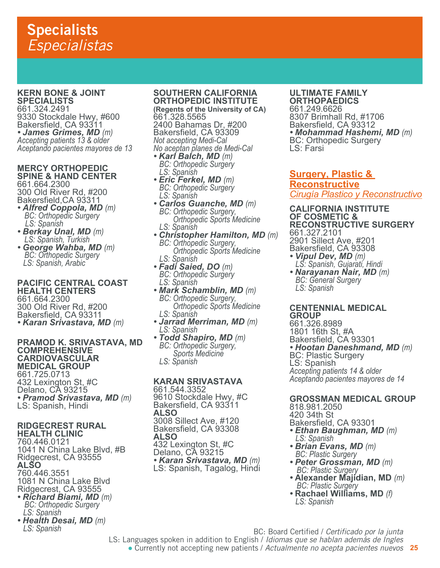#### **KERN BONE & JOINT SPECIALISTS** 661.324.2491

9330 Stockdale Hwy, #600 Bakersfield, CA 93311 *• James Grimes, MD (m) Accepting patients 13 & older Aceptando pacientes mayores de 13*

#### **MERCY ORTHOPEDIC SPINE & HAND CENTER** 661.664.2300

300 Old River Rd, #200 Bakersfield,CA 93311

- *Alfred Coppola, MD (m)**BC: Orthopedic Surgery LS: Spanish*
- *Berkay Unal, MD (m)**LS: Spanish, Turkish*
- *George Wahba, MD (m)**BC: Orthopedic Surgery LS: Spanish, Arabic*

#### **PACIFIC CENTRAL COAST HEALTH CENTERS** 661.664.2300 300 Old River Rd, #200 Bakersfield, CA 93311 *• Karan Srivastava, MD (m)*

#### **PRAMOD K. SRIVASTAVA, MD COMPREHENSIVE CARDIOVASCULAR**

**MEDICAL GROUP** 661.725.0713 432 Lexington St, #C Delano, CA 93215 *• Pramod Srivastava, MD (m)* LS: Spanish, Hindi

#### **RIDGECREST RURAL HEALTH CLINIC**

760.446.0121 1041 N China Lake Blvd, #B Ridgecrest, CA 93555 **ALSO** 760.446.3551 1081 N China Lake Blvd Ridgecrest, CA 93555 *• Richard Biami, MD (m)**BC: Orthopedic Surgery LS: Spanish*

*• Health Desai, MD (m) LS: Spanish*

#### **SOUTHERN CALIFORNIA ORTHOPEDIC INSTITUTE**

**(Regents of the University of CA)** 661.328.5565 2400 Bahamas Dr, #200 Bakersfield, CA 93309 *Not accepting Medi-Cal No aceptan planes de Medi-Cal*

- *BC: Orthopedic Surgery<br>
LS: Spanish<br>
 Eric Ferkel, MD (m)*
- *BC: Orthopedic Surgery<br>LS: Spanish<br>• Carlos Guanche, MD (m)*
- *Carlos Guanche, MD (m) BC: Orthopedic Surgery, Orthopedic Sports Medicine LS: Spanish*
- *Christopher Hamilton, MD (m) BC: Orthopedic Surgery, Orthopedic Sports Medicine LS: Spanish*
- *Fadi Saied, DO (m) BC: Orthopedic Surgery LS: Spanish*
- *LS: Spanish<br>• Mark Schamblin, MD (m)*<br>*BC: Orthopedic Surgery, Orthopedic Sports Medicine LS: Spanish*
- *Jarrad Merriman, MD (m) LS: Spanish*
- **Todd Shapiro, MD** (m) *BC: Orthopedic Surgery, LS: Spanish*

# **KARAN SRIVASTAVA**

661.544.3352 9610 Stockdale Hwy, #C Bakersfield, CA 93311 **ALSO**  3008 Sillect Ave, #120 Bakersfield, CA 93308 **ALSO**  432 Lexington St, #C Delano, CA 93215 *• Karan Srivastava, MD (m)* LS: Spanish, Tagalog, Hindi

### **ULTIMATE FAMILY ORTHOPAEDICS** 661.249.6626

8307 Brimhall Rd, #1706 Bakersfield, CA 93312 • Mohammad Hashemi, MD (m) BC: Orthopedic Surgery<br>LS: Farsi

# **Surgery, Plastic & Reconstructive** *Cirugía Plastico y Reconstructivo*

#### **CALIFORNIA INSTITUTE OF COSMETIC & RECONSTRUCTIVE SURGERY** 661.327.2101

2901 Sillect Ave, #201 Bakersfield, CA 93308

- *Vipul Dev, MD (m) LS: Spanish, Gujarati, Hindi*
- *Narayanan Nair, MD (m) BC: General Surgery LS: Spanish*

## **CENTENNIAL MEDICAL GROUP**

661.326.8989 1801 16th St, #A Bakersfield, CA 93301 **• Hootan Daneshmand, MD (m)** BC: Plastic Surgery<br>LS: Spanish *Accepting patients 14 & older Aceptando pacientes mayores de 14* 

# **GROSSMAN MEDICAL GROUP**

818.981.2050

420 34th St Bakersfield, CA 93301

- *Ethan Baughman, MD (m) LS: Spanish*
- *Brian Evans, MD (m) BC: Plastic Surgery*
- *Peter Grossman, MD (m)**BC: Plastic Surgery*
- **Alexander Majidian, MD** *(m)**BC: Plastic Surgery*
- **Rachael Williams, MD** *(f) LS: Spanish*

BC: Board Certified / *Certificado por la junta*

LS: Languages spoken in addition to English / *Idiomas que se hablan además de Ingles*

**25** ● Currently not accepting new patients / *Actualmente no acepta pacientes nuevos*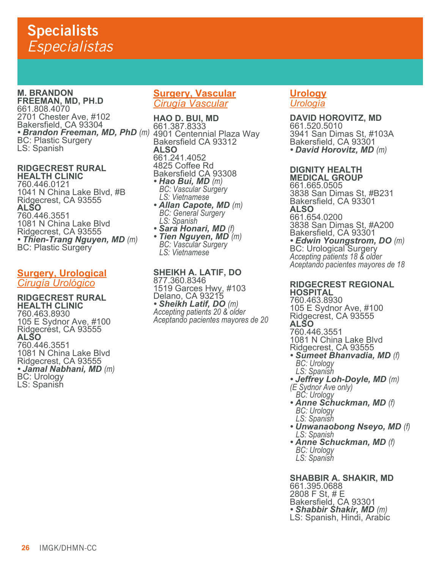### **M. BRANDON FREEMAN, MD, PH.D** 661.808.4070 2701 Chester Ave, #102 Bakersfield, CA 93304 • **Brandon Freeman, MD, PhD** (m) 4901 Centennial Plaza Way<br>BC: Plastic Surgery **Alta Brand Bakersfield CA 93312** LS: Spanish

#### **RIDGECREST RURAL HEALTH CLINIC**

760.446.0121 1041 N China Lake Blvd, #B Ridgecrest, CA 93555 **ALSO** 760.446.3551 1081 N China Lake Blvd Ridgecrest, CA 93555 *• Thien-Trang Nguyen, MD (m)* BC: Plastic Surgery

# **Surgery, Urological**

*Cirugía Urológico*

**RIDGECREST RURAL HEALTH CLINIC** 760.463.8930 105 E Sydnor Ave, #100 Ridgecrest, CA 93555 **ALSO** 760.446.3551 1081 N China Lake Blvd Ridgecrest, CA 93555 *• Jamal Nabhani, MD (m)* BC: Urology LS: Spanish

# **Surgery, Vascular** *Cirugía Vascular*

**HAO D. BUI, MD** 661.387.8333 Bakersfield CA 93312 **ALSO** 661.241.4052 4825 Coffee Rd Bakersfield CA 93308<br>• Hao Bui, MD (m) *• Hao Bui, MD (m) BC: Vascular Surgery LS: Vietnamese*

- *Allan Capote, MD (m) BC: General Surgery LS: Spanish*
- *Sara Honari, MD (f) Tien Nguyen, MD (m) BC: Vascular Surgery LS: Vietnamese*

# **SHEIKH A. LATIF, DO**

877.360.8346 1519 Garces Hwy, #103 Delano, CA 93215<br>• Sheikh Latif, DO (m) *• Sheikh Latif, DO (m) Accepting patients 20 & older Aceptando pacientes mayores de 20*

# **Urology** *Urología*

#### **DAVID HOROVITZ, MD** 661.520.5010

3941 San Dimas St, #103A Bakersfield, CA 93301 *• David Horovitz, MD (m)*

# **DIGNITY HEALTH**

**MEDICAL GROUP** 661.665.0505 3838 San Dimas St, #B231 Bakersfield, CA 93301 **ALSO** 661.654.0200 3838 San Dimas St, #A200 Bakersfield, CA 93301<br>• Edwin Youngstrom, DO (m) *• Edwin Youngstrom, DO (m)* BC: Urological Surgery *Accepting patients 18 & older Aceptando pacientes mayores de 18*

#### **RIDGECREST REGIONAL HOSPITAL**

760.463.8930 105 E Sydnor Ave, #100 Ridgecrest, CA 93555 **ALSO** 760.446.3551 1081 N China Lake Blvd Ridgecrest, CA 93555 *• Sumeet Bhanvadia, MD (f) BC: Urology LS: Spanish • Jeffrey Loh-Doyle, MD (m) (E Sydnor Ave only) BC: Urology • Anne Schuckman, MD (f) BC: Urology LS: Spanish*

- *Unwanaobong Nseyo, MD (f) LS: Spanish*
- *Anne Schuckman, MD (f) BC: Urology LS: Spanish*

**SHABBIR A. SHAKIR, MD** 661.395.0688 2808 F St, # E Bakersfield, CA 93301<br>• Shabbir Shakir, MD (m) *• Shabbir Shakir, MD (m)* LS: Spanish, Hindi, Arabic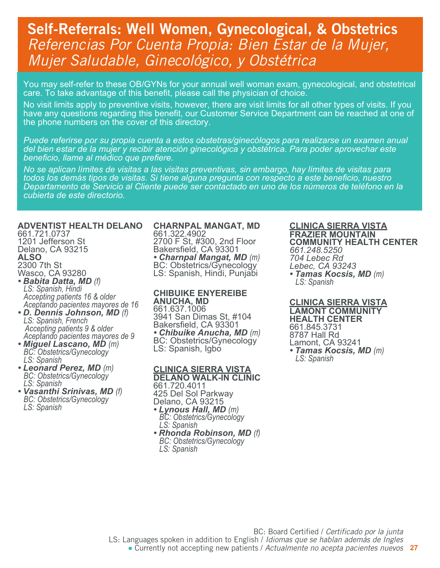# Self-Referrals: Well Women, Gynecological, & Obstetrics *Referencias Por Cuenta Propia: Bien Estar de la Mujer, Mujer Saludable, Ginecológico, y Obstétrica*

You may self-refer to these OB/GYNs for your annual well woman exam, gynecological, and obstetrical care. To take advantage of this benefit, please call the physician of choice.

No visit limits apply to preventive visits, however, there are visit limits for all other types of visits. If you have any questions regarding this benefit, our Customer Service Department can be reached at one of the phone numbers on the cover of this directory.

*Puede referirse por su propia cuenta a estos obstetras/ginecólogos para realizarse un examen anual del bien estar de la mujer y recibir atención ginecológica y obstétrica. Para poder aprovechar este beneficio, llame al médico que prefiere.*

*No se aplican límites de visitas a las visitas preventivas, sin embargo, hay límites de visitas para todos los demás tipos de visitas. Si tiene alguna pregunta con respecto a este beneficio, nuestro Departamento de Servicio al Cliente puede ser contactado en uno de los números de teléfono en la cubierta de este directorio.*

### **ADVENTIST HEALTH DELANO**

661.721.0737 1201 Jefferson St Delano, CA 93215 **ALSO** 2300 7th St Wasco, CA 93280

- *Babita Datta, MD (f) LS: Spanish, Hindi Accepting patients 16 & older Aceptando pacientes mayores de 16*
- *D. Dennis Johnson, MD (f) LS: Spanish, French* *Accepting patients 9 & older Aceptando pacientes mayores de 9*
- *Miguel Lascano, MD (m) BC: Obstetrics/Gynecology BC: Obstetrics/Gynecology*<br>LS: Spanish
- *Leonard Perez, MD (m) BC: Obstetrics/Gynecology LS: Spanish*
- *Vasanthi Srinivas, MD (f) BC: Obstetrics/Gynecology LS: Spanish*

# **CHARNPAL MANGAT, MD**

661.322.4902 2700 F St, #300, 2nd Floor Bakersfield, CA 93301 • *Charnpal Mangat, MD (m)*<br>BC: Obstetrics/Gynecology LS: Spanish, Hindi, Punjabi

**CHIBUIKE ENYEREIBE ANUCHA, MD** 661.637.1006 3941 San Dimas St, #104 Bakersfield, CA 93301<br>• *Chibuike Anucha, MD (m) • Chibuike Anucha, MD (m)* BC: Obstetrics/Gynecology LS: Spanish, Igbo

#### **CLINICA SIERRA VISTA DELANO WALK-IN CLINIC**

661.720.4011 425 Del Sol Parkway Delano, CA 93215<br>• Lynous Hall, MD (m)

- *Lynous Hall, MD (m) BC: Obstetrics/Gynecology LS: Spanish*
- *Rhonda Robinson, MD (f) BC: Obstetrics/Gynecology LS: Spanish*

### **CLINICA SIERRA VISTA FRAZIER MOUNTAIN COMMUNITY HEALTH CENTER** *661.248.5250 704 Lebec Rd Lebec, CA 93243 • Tamas Kocsis, MD (m) LS: Spanish*

### **CLINICA SIERRA VISTA LAMONT COMMUNITY HEALTH CENTER** 661.845.3731 8787 Hall Rd Lamont, CA 93241 *• Tamas Kocsis, MD (m) LS: Spanish*

**27** ● Currently not accepting new patients / *Actualmente no acepta pacientes nuevos* BC: Board Certified / *Certificado por la junta* LS: Languages spoken in addition to English / *Idiomas que se hablan además de Ingles*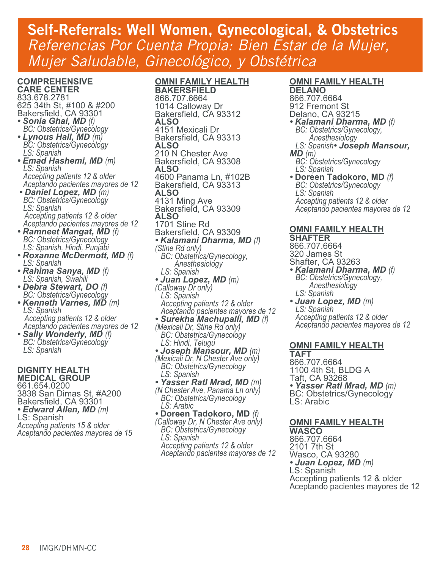# Self-Referrals: Well Women, Gynecological, & Obstetrics *Referencias Por Cuenta Propia: Bien Estar de la Mujer, Mujer Saludable, Ginecológico, y Obstétrica*

**COMPREHENSIVE CARE CENTER** 833.678.2781 625 34th St, #100 & #200 Bakersfield, CA 93301 *• Sonia Ghai, MD (f) BC: Obstetrics/Gynecology • Lynous Hall, MD (m) BC: Obstetrics/Gynecology LS: Spanish • Emad Hashemi, MD (m) LS: Spanish Accepting patients 12 & older Aceptando pacientes mayores de 12* • Daniel Lopez, MD (m) **BC: Obstetrics/Gynecology**<br>LS: Spanish *Accepting patients 12 & older Aceptando pacientes mayores de 12 • Ramneet Mangat, MD (f) BC: Obstetrics/Gynecology LS: Spanish, Hindi, Punjabi • Roxanne McDermott, MD (f) LS: Spanish • Rahima Sanya, MD (f) LS: Spanish, Swahili • Debra Stewart, DO (f) BC: Obstetrics/Gynecology • Kenneth Varnes, MD (m) LS: Spanish* *Accepting patients 12 & older Aceptando pacientes mayores de 12 • Sally Wonderly, MD (f) BC: Obstetrics/Gynecology LS: Spanish* **DIGNITY HEALTH MEDICAL GROUP**

661.654.0200 3838 San Dimas St, #A200 Bakersfield, CA 93301 *• Edward Allen, MD (m)* LS: Spanish *Accepting patients 15 & older Aceptando pacientes mayores de 15*

# **OMNI FAMILY HEALTH**

**BAKERSFIELD** 866.707.6664 1014 Calloway Dr Bakersfield, CA 93312 **ALSO** 4151 Mexicali Dr Bakersfield, CA 93313 **ALSO** 210 N Chester Ave Bakersfield, CA 93308 **ALSO** 4600 Panama Ln, #102B Bakersfield, CA 93313 **ALSO** 4131 Ming Ave Bakersfield, CA 93309 **ALSO** 1701 Stine Rd Bakersfield, CA 93309 *• Kalamani Dharma, MD (f) (Stine Rd only) BC: Obstetrics/Gynecology, Anesthesiology LS: Spanish • Juan Lopez, MD (m) (Calloway Dr only) LS: Spanish Accepting patients 12 & older Aceptando pacientes mayores de 12 • Surekha Machupalli, MD (f) (Mexicali Dr, Stine Rd only) BC: Obstetrics/Gynecology LS: Hindi, Telugu • Joseph Mansour, MD (m) (Mexicali Dr, N Chester Ave only) BC: Obstetrics/Gynecology LS: Spanish • Yasser Ratl Mrad, MD (m) (N Chester Ave, Panama Ln only) BC: Obstetrics/Gynecology LS: Arabic (Calloway Dr, N Chester Ave only) BC: Obstetrics/Gynecology LS: Spanish*

 *Accepting patients 12 & older Aceptando pacientes mayores de 12 Anesthesiology LS: Spanish • Juan Lopez, MD (m) LS: Spanish Accepting patients 12 & older*  **OMNI FAMILY HEALTH TAFT** 866.707.6664 1100 4th St, BLDG A Taft, CA 93268 LS: Arabic **OMNI FAMILY HEALTH WASCO** 866.707.6664 2101 7th St Wasco, CA 93280 *• Juan Lopez, MD (m)* LS: Spanish

Accepting patients 12 & older Aceptando pacientes mayores de 12

 *Anesthesiology LS: Spanish• Joseph Mansour, MD (m) BC: Obstetrics/Gynecology LS: Spanish*  **• Doreen Tadokoro, MD (f)** *BC: Obstetrics/Gynecology*<br>*LS: Spanish Accepting patients 12 & older Aceptando pacientes mayores de 12* **OMNI FAMILY HEALTH SHAFTER** 866.707.6664 320 James St Shafter, CA 93263 *• Kalamani Dharma, MD (f) BC: Obstetrics/Gynecology,* 

**OMNI FAMILY HEALTH**

*• Kalamani Dharma, MD (f) BC: Obstetrics/Gynecology,* 

**DELANO** 866.707.6664 912 Fremont St Delano, CA 93215

 *Aceptando pacientes mayores de 12*

*• Yasser Ratl Mrad, MD (m)* BC: Obstetrics/Gynecology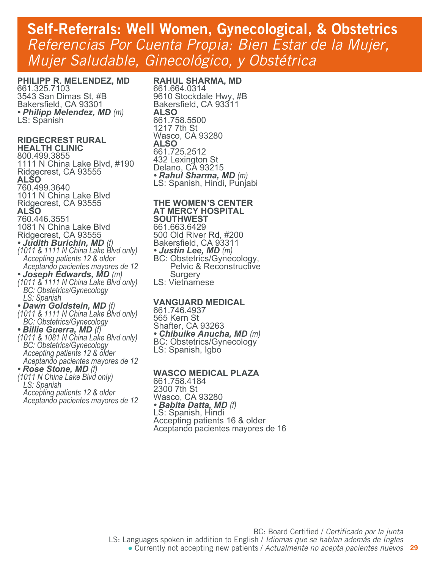# Self-Referrals: Well Women, Gynecological, & Obstetrics *Referencias Por Cuenta Propia: Bien Estar de la Mujer, Mujer Saludable, Ginecológico, y Obstétrica*

**PHILIPP R. MELENDEZ, MD** 661.325.7103 3543 San Dimas St, #B Bakersfield, CA 93301 *• Philipp Melendez, MD (m)* LS: Spanish

**RIDGECREST RURAL HEALTH CLINIC** 800.499.3855 1111 N China Lake Blvd, #190 Ridgecrest, CA 93555 **ALSO** 760.499.3640 1011 N China Lake Blvd Ridgecrest, CA 93555 **ALSO** 760.446.3551 1081 N China Lake Blvd Ridgecrest, CA 93555 *• Judith Burichin, MD (f) (1011 & 1111 N China Lake Blvd only) Accepting patients 12 & older Aceptando pacientes mayores de 12 • Joseph Edwards, MD (m) (1011 & 1111 N China Lake Blvd only) BC: Obstetrics/Gynecology LS: Spanish • Dawn Goldstein, MD (f) (1011 & 1111 N China Lake Blvd only) BC: Obstetrics/Gynecology • Billie Guerra, MD (f) (1011 & 1081 N China Lake Blvd only)*

 *BC: Obstetrics/Gynecology Accepting patients 12 & older Aceptando pacientes mayores de 12*

*• Rose Stone, MD (f) (1011 N China Lake Blvd only) LS: Spanish Accepting patients 12 & older Aceptando pacientes mayores de 12*

### **RAHUL SHARMA, MD**

661.664.0314 9610 Stockdale Hwy, #B Bakersfield, CA 93311 **ALSO** 661.758.5500 1217 7th St Wasco, CA 93280 **ALSO** 661.725.2512 432 Lexington St Delano, CA 93215<br>• *Rahul Sharma, MD (m*) *• Rahul Sharma, MD (m)* LS: Spanish, Hindi, Punjabi

#### **THE WOMEN'S CENTER AT MERCY HOSPITAL SOUTHWEST**

661.663.6429 500 Old River Rd, #200 Bakersfield, CA 93311<br>*• Justin Lee, MD (m)* **BC: Obstetrics/Gynecology,**  Pelvic & Reconstructive Surgery LS: Vietnamese

### **VANGUARD MEDICAL**

661.746.4937 565 Kern St Shafter, CA 93263<br>• *Chibuike Anucha, MD (m)* **BC: Obstetrics/Gynecology** LS: Spanish, Igbo

### **WASCO MEDICAL PLAZA**

661.758.4184 2300 7th St Wasco, CA 93280 *• Babita Datta, MD (f)* LS: Spanish, Hindi Accepting patients 16 & older Aceptando pacientes mayores de 16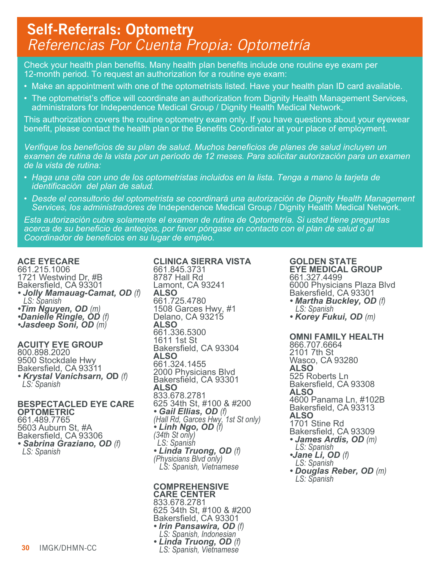# Self-Referrals: Optometry *Referencias Por Cuenta Propia: Optometría*

Check your health plan benefits. Many health plan benefits include one routine eye exam per 12-month period. To request an authorization for a routine eye exam:

- Make an appointment with one of the optometrists listed. Have your health plan ID card available.
- The optometrist's office will coordinate an authorization from Dignity Health Management Services, administrators for Independence Medical Group / Dignity Health Medical Network.

This authorization covers the routine optometry exam only. If you have questions about your eyewear benefit, please contact the health plan or the Benefits Coordinator at your place of employment.

*Verifique los beneficios de su plan de salud. Muchos beneficios de planes de salud incluyen un examen de rutina de la vista por un período de 12 meses. Para solicitar autorización para un examen de la vista de rutina:*

- *Haga una cita con uno de los optometristas incluidos en la lista. Tenga a mano la tarjeta de identificación del plan de salud.*
- *Desde el consultorio del optometrista se coordinará una autorización de Dignity Health Management Services, los administradores de* Independence Medical Group / Dignity Health Medical Network.

*Esta autorización cubre solamente el examen de rutina de Optometría. Si usted tiene preguntas acerca de su beneficio de anteojos, por favor póngase en contacto con el plan de salud o al Coordinador de beneficios en su lugar de empleo.*

# **ACE EYECARE**

661.215.1006 1721 Westwind Dr, #B Bakersfield, CA 93301 *• Jolly Mamauag-Camat, OD (f) LS: Spanish •Tim Nguyen, OD (m) •Danielle Ringle, OD (f) •Jasdeep Soni, OD (m)*

# **ACUITY EYE GROUP**

800.898.2020 9500 Stockdale Hwy Bakersfield, CA 93311 *• Krystal Vanichsarn, O***D** *(f) LS: Spanish*

### **BESPECTACLED EYE CARE OPTOMETRIC** 661.489.7765 5603 Auburn St, #A Bakersfield, CA 93306 *• Sabrina Graziano, OD (f) LS: Spanish*

# **CLINICA SIERRA VISTA**

661.845.3731 8787 Hall Rd Lamont, CA 93241 **ALSO** 661.725.4780 1508 Garces Hwy, #1 Delano, CA 93215 **ALSO** 661.336.5300 1611 1st St Bakersfield, CA 93304 **ALSO** 661.324.1455 2000 Physicians Blvd Bakersfield, CA 93301 **ALSO** 833.678.2781 625 34th St, #100 & #200<br>• *Gail Ellias, OD (f) • Gail Ellias, OD (f) (Hall Rd, Garces Hwy, 1st St only) • Linh Ngo, OD (f) (34th St only) LS: Spanish • Linda Truong, OD (f) (Physicians Blvd only) LS: Spanish, Vietnamese*

#### **COMPREHENSIVE CARE CENTER**

833.678.2781 625 34th St, #100 & #200 Bakersfield, CA 93301 *• Irin Pansawira, OD (f) LS: Spanish, Indonesian • Linda Truong, OD (f) LS: Spanish, Vietnamese*

#### **GOLDEN STATE EYE MEDICAL GROUP** 661.327.4499 6000 Physicians Plaza Blvd Bakersfield, CA 93301

- *Martha Buckley, OD (f) LS: Spanish*
- *Korey Fukui, OD (m)*

### **OMNI FAMILY HEALTH**

866.707.6664 2101 7th St Wasco, CA 93280 **ALSO** 525 Roberts Ln Bakersfield, CA 93308 **ALSO** 4600 Panama Ln, #102B Bakersfield, CA 93313 **ALSO** 1701 Stine Rd Bakersfield, CA 93309 *• James Ardis, OD (m) LS: Spanish •Jane Li, OD (f) LS: Spanish*

*• Douglas Reber, OD (m) LS: Spanish*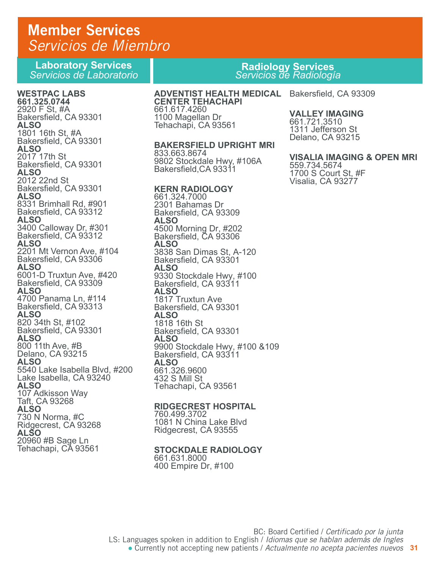# Member Services *Servicios de Miembro*

**Laboratory Services**  *Servicios de Laboratorio*

**WESTPAC LABS 661.325.0744**  2920 F St, #A Bakersfield, CA 93301 **ALSO**  1801 16th St, #A Bakersfield, CA 93301 **ALSO**  2017 17th St Bakersfield, CA 93301 **ALSO**  2012 22nd St Bakersfield, CA 93301 **ALSO**  8331 Brimhall Rd, #901 Bakersfield, CA 93312 **ALSO**  3400 Calloway Dr, #301 Bakersfield, CA 93312 **ALSO**  2201 Mt Vernon Ave, #104 Bakersfield, CA 93306 **ALSO**  6001-D Truxtun Ave, #420 Bakersfield, CA 93309 **ALSO**  4700 Panama Ln, #114 Bakersfield, CA 93313 **ALSO**  820 34th St, #102 Bakersfield, CA 93301 **ALSO**  800 11th Ave, #B Delano, CA 93215 **ALSO**  5540 Lake Isabella Blvd, #200 Lake Isabella, CA 93240 **ALSO**  107 Adkisson Way Taft, CA 93268 **ALSO** 730 N Norma, #C Ridgecrest, CA 93268 **ALSO** 20960 #B Sage Ln Tehachapi, CA 93561

# **Radiology Services**  *Servicios de Radiología*

**ADVENTIST HEALTH MEDICAL**  Bakersfield, CA 93309 **CENTER TEHACHAPI** 661.617.4260 1100 Magellan Dr Tehachapi, CA 93561

#### **BAKERSFIELD UPRIGHT MRI**

833.663.8674 9802 Stockdale Hwy, #106A Bakersfield,CA 93311

#### **KERN RADIOLOGY**

661.324.7000 2301 Bahamas Dr Bakersfield, CA 93309 **ALSO** 4500 Morning Dr, #202 Bakersfield, CA 93306 **ALSO** 3838 San Dimas St, A-120 Bakersfield, CA 93301 **ALSO** 9330 Stockdale Hwy, #100 Bakersfield, CA 93311 **ALSO** 1817 Truxtun Ave Bakersfield, CA 93301 **ALSO** 1818 16th St Bakersfield, CA 93301 **ALSO** 9900 Stockdale Hwy, #100 &109 Bakersfield, CA 93311 **ALSO** 661.326.9600 432 S Mill St Tehachapi, CA 93561

#### **RIDGECREST HOSPITAL**

760.499.3702 1081 N China Lake Blvd Ridgecrest, CA 93555

## **STOCKDALE RADIOLOGY**

661.631.8000 400 Empire Dr, #100

### **VALLEY IMAGING**

661.721.3510 1311 Jefferson St Delano, CA 93215

#### **VISALIA IMAGING & OPEN MRI**

559.734.5674 1700 S Court St, #F Visalia, CA 93277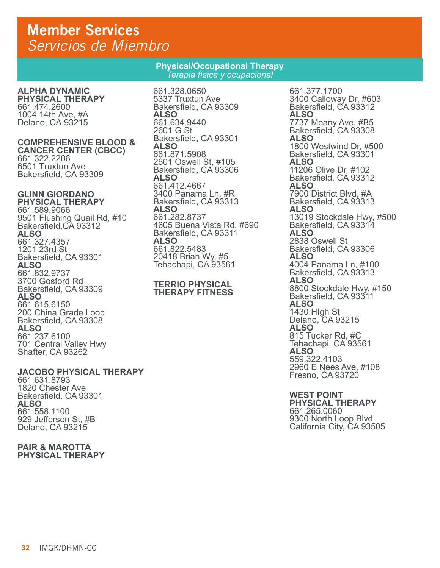# Member Services *Servicios de Miembro*

**ALPHA DYNAMIC PHYSICAL THERAPY** 661.474.2600 1004 14th Ave, #A Delano, CA 93215

**COMPREHENSIVE BLOOD & CANCER CENTER (CBCC)** 661.322.2206 6501 Truxtun Ave Bakersfield, CA 93309

#### **GLINN GIORDANO PHYSICAL THERAPY**

661.589.9066 9501 Flushing Quail Rd, #10 Bakersfield,CA 93312 **ALSO**  661.327.4357 1201 23rd St Bakersfield, CA 93301 **ALSO** 661.832.9737 3700 Gosford Rd Bakersfield, CA 93309 **ALSO** 661.615.6150 200 China Grade Loop Bakersfield, CA 93308 **ALSO** 661.237.6100 701 Central Valley Hwy Shafter, CA 93262

# **JACOBO PHYSICAL THERAPY**

661.631.8793 1820 Chester Ave Bakersfield, CA 93301 **ALSO** 661.558.1100 929 Jefferson St, #B Delano, CA 93215

**PAIR & MAROTTA PHYSICAL THERAPY**

# **Physical/Occupational Therapy**  *Terapia física y ocupacional*

661.328.0650 5337 Truxtun Ave Bakersfield, CA 93309 **ALSO** 661.634.9440 2601 G St Bakersfield, CA 93301 **ALSO** 661.871.5908 2601 Oswell St, #105 Bakersfield, CA 93306 **ALSO** 661.412.4667 3400 Panama Ln, #R Bakersfield, CA 93313 **ALSO** 661.282.8737 4605 Buena Vista Rd, #690 Bakersfield, CA 93311 **ALSO** 661.822.5483 20418 Brian Wy, #5 Tehachapi, CA 93561

#### **TERRIO PHYSICAL THERAPY FITNESS**

661.377.1700 3400 Calloway Dr, #603 Bakersfield, CA 93312 **ALSO** 7737 Meany Ave, #B5 Bakersfield, CA 93308 **ALSO** 1800 Westwind Dr, #500 Bakersfield, CA 93301 **ALSO** 11206 Olive Dr, #102 Bakersfield, CA 93312 **ALSO** 7900 District Blvd, #A Bakersfield, CA 93313 **ALSO** 13019 Stockdale Hwy, #500 Bakersfield, CA 93314 **ALSO** 2838 Oswell St Bakersfield, CA 93306 **ALSO** 4004 Panama Ln, #100 Bakersfield, CA 93313 **ALSO** 8800 Stockdale Hwy, #150 Bakersfield, CA 93311 **ALSO** 1430 HIgh St Delano, CA 93215 **ALSO** 815 Tucker Rd, #C Tehachapi, CA 93561 **ALSO**  559.322.4103 2960 E Nees Ave, #108 Fresno, CA 93720

#### **WEST POINT PHYSICAL THERAPY**

661.265.0060 9300 North Loop Blvd California City, CA 93505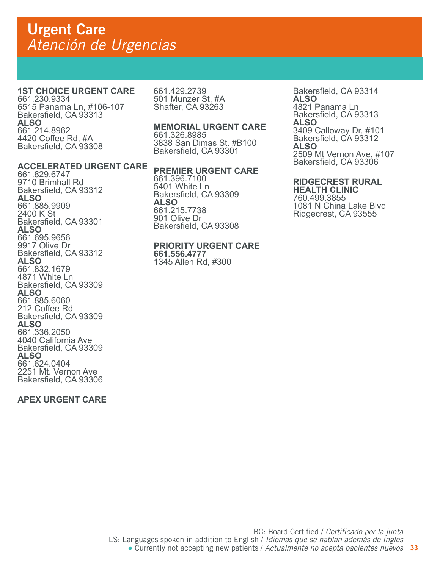### **1ST CHOICE URGENT CARE**

661.230.9334 6515 Panama Ln, #106-107 Bakersfield, CA 93313 **ALSO** 661.214.8962 4420 Coffee Rd, #A Bakersfield, CA 93308

### **ACCELERATED URGENT CARE**

661.829.6747 9710 Brimhall Rd Bakersfield, CA 93312 **ALSO** 661.885.9909 2400 K St Bakersfield, CA 93301 **ALSO** 661.695.9656 9917 Olive Dr Bakersfield, CA 93312 **ALSO** 661.832.1679 4871 White Ln Bakersfield, CA 93309 **ALSO** 661.885.6060 212 Coffee Rd Bakersfield, CA 93309 **ALSO** 661.336.2050 4040 California Ave Bakersfield, CA 93309 **ALSO** 661.624.0404 2251 Mt. Vernon Ave Bakersfield, CA 93306

### **APEX URGENT CARE**

661.429.2739 501 Munzer St, #A Shafter, CA 93263

### **MEMORIAL URGENT CARE**

661.326.8985 3838 San Dimas St. #B100 Bakersfield, CA 93301

### **PREMIER URGENT CARE**

661.396.7100 5401 White Ln Bakersfield, CA 93309 **ALSO** 661.215.7738 901 Olive Dr Bakersfield, CA 93308

### **PRIORITY URGENT CARE**

**661.556.4777**  1345 Allen Rd, #300

#### Bakersfield, CA 93314 **ALSO** 4821 Panama Ln Bakersfield, CA 93313 **ALSO** 3409 Calloway Dr, #101 Bakersfield, CA 93312 **ALSO** 2509 Mt Vernon Ave, #107 Bakersfield, CA 93306

## **RIDGECREST RURAL**

**HEALTH CLINIC**  760.499.3855 1081 N China Lake Blvd Ridgecrest, CA 93555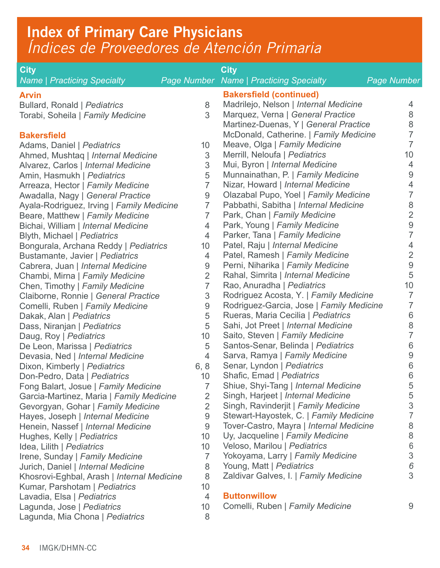# Index of Primary Care Physicians *Índices de Proveedores de Atención Primaria*

| <b>City</b>                                                          |                                   | <b>City</b>                                                       |                                    |
|----------------------------------------------------------------------|-----------------------------------|-------------------------------------------------------------------|------------------------------------|
| <b>Name   Practicing Specialty</b>                                   | <b>Page Number</b>                | <b>Name   Practicing Specialty</b>                                | <b>Page Number</b>                 |
| <b>Arvin</b>                                                         |                                   | <b>Bakersfield (continued)</b>                                    |                                    |
| Bullard, Ronald   Pediatrics                                         | 8                                 | Madrilejo, Nelson   Internal Medicine                             | 4                                  |
| Torabi, Soheila   Family Medicine                                    | 3                                 | Marquez, Verna   General Practice                                 | 8                                  |
|                                                                      |                                   | Martinez-Duenas, Y   General Practice                             | 8                                  |
| <b>Bakersfield</b>                                                   |                                   | McDonald, Catherine.   Family Medicine                            | 7                                  |
| Adams, Daniel   Pediatrics                                           | 10                                | Meave, Olga   Family Medicine                                     | 7                                  |
| Ahmed, Mushtaq   Internal Medicine                                   | 3                                 | Merrill, Neloufa   Pediatrics                                     | 10                                 |
| Alvarez, Carlos   Internal Medicine                                  | $\ensuremath{\mathsf{3}}$         | Mui, Byron   Internal Medicine                                    | 4                                  |
| Amin, Hasmukh   Pediatrics                                           | 5                                 | Munnainathan, P.   Family Medicine                                | 9                                  |
| Arreaza, Hector   Family Medicine                                    | $\overline{7}$                    | Nizar, Howard   Internal Medicine                                 | 4                                  |
| Awadalla, Nagy   General Practice                                    | $9\,$                             | Olazabal Pupo, Yoel   Family Medicine                             | 7                                  |
| Ayala-Rodriguez, Irving   Family Medicine                            | $\overline{7}$                    | Pabbathi, Sabitha   Internal Medicine                             | 8                                  |
| Beare, Matthew   Family Medicine                                     | $\overline{7}$                    | Park, Chan   Family Medicine                                      | $\overline{2}$                     |
| Bichai, William   Internal Medicine                                  | 4                                 | Park, Young   Family Medicine                                     | $\boldsymbol{9}$<br>$\overline{7}$ |
| Blyth, Michael   Pediatrics                                          | $\overline{4}$                    | Parker, Tana   Family Medicine<br>Patel, Raju   Internal Medicine | 4                                  |
| Bongurala, Archana Reddy   Pediatrics                                | 10 <sup>1</sup><br>$\overline{4}$ | Patel, Ramesh   Family Medicine                                   | $\overline{2}$                     |
| Bustamante, Javier   Pediatrics<br>Cabrera, Juan   Internal Medicine | $\boldsymbol{9}$                  | Perni, Niharika   Family Medicine                                 | $\boldsymbol{9}$                   |
| Chambi, Mirna   Family Medicine                                      | $\overline{2}$                    | Rahal, Simrita   Internal Medicine                                | 5                                  |
| Chen, Timothy   Family Medicine                                      | 7                                 | Rao, Anuradha   Pediatrics                                        | 10                                 |
| Claiborne, Ronnie   General Practice                                 | $\mathfrak 3$                     | Rodriguez Acosta, Y.   Family Medicine                            | 7                                  |
| Comelli, Ruben   Family Medicine                                     | $\boldsymbol{9}$                  | Rodriguez-Garcia, Jose   Family Medicine                          | 7                                  |
| Dakak, Alan   Pediatrics                                             | 5                                 | Rueras, Maria Cecilia   Pediatrics                                | 6                                  |
| Dass, Niranjan   Pediatrics                                          | 5                                 | Sahi, Jot Preet   Internal Medicine                               | 8                                  |
| Daug, Roy   Pediatrics                                               | 10                                | Saito, Steven   Family Medicine                                   | 7                                  |
| De Leon, Marissa   Pediatrics                                        | 5                                 | Santos-Senar, Belinda   Pediatrics                                | 6                                  |
| Devasia, Ned   Internal Medicine                                     | $\overline{4}$                    | Sarva, Ramya   Family Medicine                                    | $\boldsymbol{9}$                   |
| Dixon, Kimberly   Pediatrics                                         | 6, 8                              | Senar, Lyndon   Pediatrics                                        | 6                                  |
| Don-Pedro, Data   Pediatrics                                         | 10                                | Shafic, Emad   Pediatrics                                         | 6                                  |
| Fong Balart, Josue   Family Medicine                                 | 7                                 | Shiue, Shyi-Tang   Internal Medicine                              | $\circ$                            |
| Garcia-Martinez, Maria   Family Medicine                             | $\overline{2}$                    | Singh, Harjeet   Internal Medicine                                | 5                                  |
| Gevorgyan, Gohar   Family Medicine                                   | $\overline{2}$                    | Singh, Ravinderjit   Family Medicine                              | 3                                  |
| Hayes, Joseph   Internal Medicine                                    | $9\,$                             | Stewart-Hayostek, C.   Family Medicine                            |                                    |
| Henein, Nassef   Internal Medicine                                   | $\boldsymbol{9}$                  | Tover-Castro, Mayra   Internal Medicine                           | 8                                  |
| Hughes, Kelly   Pediatrics                                           | 10                                | Uy, Jacqueline   Family Medicine                                  | 8                                  |
| Idea, Lilith   Pediatrics                                            | 10                                | Veloso, Marilou   Pediatrics                                      | 6                                  |
| Irene, Sunday   Family Medicine                                      | $\overline{7}$                    | Yokoyama, Larry   Family Medicine                                 | 3                                  |
| Jurich, Daniel   Internal Medicine                                   | 8                                 | Young, Matt   Pediatrics                                          | 6<br>3                             |
| Khosrovi-Eghbal, Arash   Internal Medicine                           | 8                                 | Zaldivar Galves, I.   Family Medicine                             |                                    |
| Kumar, Parshotam   Pediatrics                                        | 10                                | <b>Buttonwillow</b>                                               |                                    |
| Lavadia, Elsa   Pediatrics                                           | 4                                 | Comelli, Ruben   Family Medicine                                  | 9                                  |
| Lagunda, Jose   Pediatrics<br>Lagunda, Mia Chona   Pediatrics        | 10<br>8                           |                                                                   |                                    |
|                                                                      |                                   |                                                                   |                                    |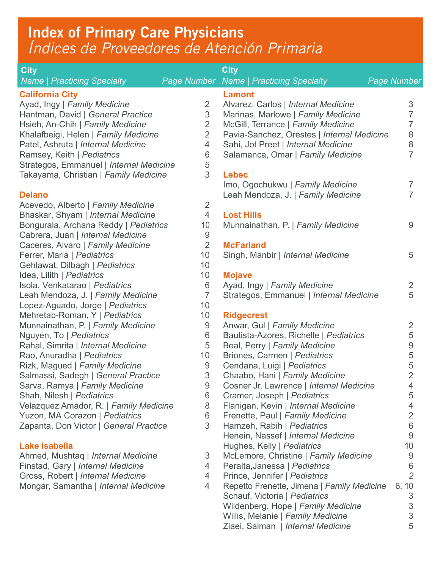# Index of Primary Care Physicians *Índices de Proveedores de Atención Primaria*

| <b>City</b>                             |                 | <b>City</b>                                    |                    |
|-----------------------------------------|-----------------|------------------------------------------------|--------------------|
| <b>Name   Practicing Specialty</b>      |                 | <b>Page Number Name   Practicing Specialty</b> | <b>Page Number</b> |
| <b>California City</b>                  |                 | <b>Lamont</b>                                  |                    |
| Ayad, Ingy   Family Medicine            | $\overline{2}$  | Alvarez, Carlos   Internal Medicine            | 3                  |
| Hantman, David   General Practice       | 3               | Marinas, Marlowe   Family Medicine             | $\overline{7}$     |
| Hsieh, An-Chih   Family Medicine        | $\overline{2}$  |                                                | 7                  |
| Khalafbeigi, Helen   Family Medicine    | $\overline{2}$  | Pavia-Sanchez, Orestes   Internal Medicine     | 8                  |
| Patel, Ashruta   Internal Medicine      | 4               | Sahi, Jot Preet   Internal Medicine            | $\,8\,$            |
| Ramsey, Keith   Pediatrics              | 6               | Salamanca, Omar   Family Medicine              | $\overline{7}$     |
| Strategos, Emmanuel   Internal Medicine | 5               |                                                |                    |
| Takayama, Christian   Family Medicine   | 3               | <b>Lebec</b>                                   |                    |
|                                         |                 | Imo, Ogochukwu   Family Medicine               | 7                  |
| <b>Delano</b>                           |                 | Leah Mendoza, J.   Family Medicine             | $\overline{7}$     |
| Acevedo, Alberto   Family Medicine      | 2               |                                                |                    |
| Bhaskar, Shyam   Internal Medicine      | $\overline{4}$  | <b>Lost Hills</b>                              |                    |
| Bongurala, Archana Reddy   Pediatrics   | 10              | Munnainathan, P.   Family Medicine             | 9                  |
| Cabrera, Juan   Internal Medicine       | 9               |                                                |                    |
| Caceres, Alvaro   Family Medicine       | $\overline{2}$  | <b>McFarland</b>                               |                    |
| Ferrer, Maria   Pediatrics              | 10              | Singh, Manbir   Internal Medicine              | 5                  |
| Gehlawat, Dilbagh   Pediatrics          | 10              |                                                |                    |
| Idea, Lilith   Pediatrics               | 10 <sup>°</sup> | <b>Mojave</b>                                  |                    |
| Isola, Venkatarao   Pediatrics          | $6\phantom{1}$  | Ayad, Ingy   Family Medicine                   | $\overline{2}$     |
| Leah Mendoza, J.   Family Medicine      | 7               | Strategos, Emmanuel   Internal Medicine        | 5                  |
| Lopez-Aguado, Jorge   Pediatrics        | 10 <sup>°</sup> |                                                |                    |
| Mehretab-Roman, Y   Pediatrics          | 10 <sup>°</sup> | <b>Ridgecrest</b>                              |                    |
| Munnainathan, P.   Family Medicine      | 9               | Anwar, Gul   Family Medicine                   | 2                  |
| Nguyen, To   Pediatrics                 | 6               | Bautista-Azores, Richelle   Pediatrics         | 5                  |
| Rahal, Simrita   Internal Medicine      | 5               | Beal, Perry   Family Medicine                  | $\boldsymbol{9}$   |
| Rao, Anuradha   Pediatrics              | 10              | Briones, Carmen   Pediatrics                   | 5                  |
| Rizk, Magued   Family Medicine          | 9               | Cendana, Luigi   Pediatrics                    | 5                  |
| Salmassi, Sadegh   General Practice     | 3               | Chaabo, Hani   Family Medicine                 | $\overline{2}$     |
| Sarva, Ramya   Family Medicine          | 9               | Cosner Jr, Lawrence   Internal Medicine        | 4                  |
| Shah, Nilesh   Pediatrics               | 6               | Cramer, Joseph   Pediatrics                    | 5                  |
| Velazquez Amador, R.   Family Medicine  | 8               | Flanigan, Kevin   Internal Medicine            | 4                  |
| Yuzon, MA Corazon   Pediatrics          | 6               | Frenette, Paul   Family Medicine               | $\overline{2}$     |
| Zapanta, Don Victor   General Practice  | 3               | Hamzeh, Rabih   Pediatrics                     | 6                  |
|                                         |                 | Henein, Nassef   Internal Medicine             | $9\,$              |
| Lake Isabella                           |                 | Hughes, Kelly   Pediatrics                     | 10                 |
| Ahmed, Mushtaq   Internal Medicine      | 3               | McLemore, Christine   Family Medicine          | 9                  |
| Finstad, Gary   Internal Medicine       | 4               | Peralta, Janessa   Pediatrics                  | 6                  |
| Gross, Robert   Internal Medicine       | 4               | Prince, Jennifer   Pediatrics                  | $\overline{2}$     |
| Mongar, Samantha   Internal Medicine    | 4               | Repetto Frenette, Jimena   Family Medicine     | 6, 10              |
|                                         |                 | Schauf, Victoria   Pediatrics                  | 3                  |
|                                         |                 | Wildenberg, Hope   Family Medicine             | 3                  |
|                                         |                 | Willis, Melanie   Family Medicine              | 3                  |
|                                         |                 | Ziaei, Salman   Internal Medicine              | 5                  |